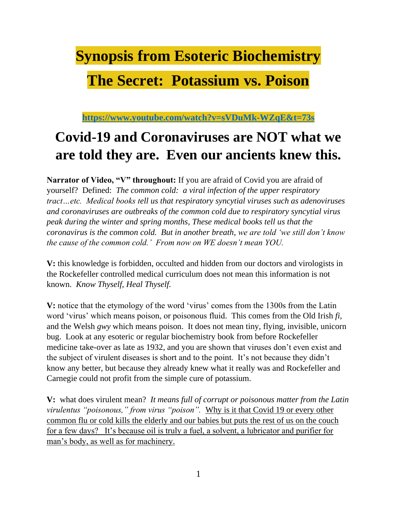# **Synopsis from Esoteric Biochemistry**

# **The Secret: Potassium vs. Poison**

**<https://www.youtube.com/watch?v=sVDuMk-WZqE&t=73s>**

# **Covid-19 and Coronaviruses are NOT what we are told they are. Even our ancients knew this.**

**Narrator of Video, "V" throughout:** If you are afraid of Covid you are afraid of yourself? Defined: *The common cold: a viral infection of the upper respiratory tract…etc. Medical books tell us that respiratory syncytial viruses such as adenoviruses and coronaviruses are outbreaks of the common cold due to respiratory syncytial virus peak during the winter and spring months, These medical books tell us that the coronavirus is the common cold. But in another breath, we are told 'we still don't know the cause of the common cold.' From now on WE doesn't mean YOU.* 

**V:** this knowledge is forbidden, occulted and hidden from our doctors and virologists in the Rockefeller controlled medical curriculum does not mean this information is not known. *Know Thyself, Heal Thyself.*

**V:** notice that the etymology of the word 'virus' comes from the 1300s from the Latin word 'virus' which means poison, or poisonous fluid. This comes from the Old Irish *fi,*  and the Welsh *gwy* which means poison. It does not mean tiny, flying, invisible, unicorn bug. Look at any esoteric or regular biochemistry book from before Rockefeller medicine take-over as late as 1932, and you are shown that viruses don't even exist and the subject of virulent diseases is short and to the point. It's not because they didn't know any better, but because they already knew what it really was and Rockefeller and Carnegie could not profit from the simple cure of potassium.

**V:** what does virulent mean? *It means full of corrupt or poisonous matter from the Latin virulentus "poisonous," from virus "poison".* Why is it that Covid 19 or every other common flu or cold kills the elderly and our babies but puts the rest of us on the couch for a few days? It's because oil is truly a fuel, a solvent, a lubricator and purifier for man's body, as well as for machinery.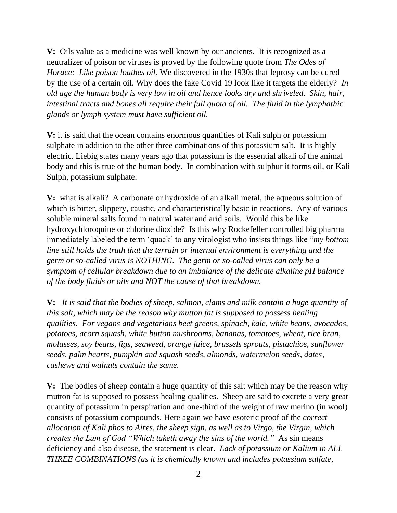**V:** Oils value as a medicine was well known by our ancients. It is recognized as a neutralizer of poison or viruses is proved by the following quote from *The Odes of Horace: Like poison loathes oil.* We discovered in the 1930s that leprosy can be cured by the use of a certain oil. Why does the fake Covid 19 look like it targets the elderly? *In old age the human body is very low in oil and hence looks dry and shriveled. Skin, hair, intestinal tracts and bones all require their full quota of oil. The fluid in the lymphathic glands or lymph system must have sufficient oil.* 

**V:** it is said that the ocean contains enormous quantities of Kali sulph or potassium sulphate in addition to the other three combinations of this potassium salt. It is highly electric. Liebig states many years ago that potassium is the essential alkali of the animal body and this is true of the human body. In combination with sulphur it forms oil, or Kali Sulph, potassium sulphate.

**V:** what is alkali? A carbonate or hydroxide of an alkali metal, the aqueous solution of which is bitter, slippery, caustic, and characteristically basic in reactions. Any of various soluble mineral salts found in natural water and arid soils. Would this be like hydroxychloroquine or chlorine dioxide? Is this why Rockefeller controlled big pharma immediately labeled the term 'quack' to any virologist who insists things like "*my bottom line still holds the truth that the terrain or internal environment is everything and the germ or so-called virus is NOTHING. The germ or so-called virus can only be a symptom of cellular breakdown due to an imbalance of the delicate alkaline pH balance of the body fluids or oils and NOT the cause of that breakdown.* 

**V:** *It is said that the bodies of sheep, salmon, clams and milk contain a huge quantity of this salt, which may be the reason why mutton fat is supposed to possess healing qualities. For vegans and vegetarians beet greens, spinach, kale, white beans, avocados, potatoes, acorn squash, white button mushrooms, bananas, tomatoes, wheat, rice bran, molasses, soy beans, figs, seaweed, orange juice, brussels sprouts, pistachios, sunflower seeds, palm hearts, pumpkin and squash seeds, almonds, watermelon seeds, dates, cashews and walnuts contain the same.* 

**V:**The bodies of sheep contain a huge quantity of this salt which may be the reason why mutton fat is supposed to possess healing qualities. Sheep are said to excrete a very great quantity of potassium in perspiration and one-third of the weight of raw merino (in wool) consists of potassium compounds. Here again we have esoteric proof of the *correct allocation of Kali phos to Aires, the sheep sign, as well as to Virgo, the Virgin, which creates the Lam of God "Which taketh away the sins of the world."* As sin means deficiency and also disease, the statement is clear. *Lack of potassium or Kalium in ALL THREE COMBINATIONS (as it is chemically known and includes potassium sulfate,*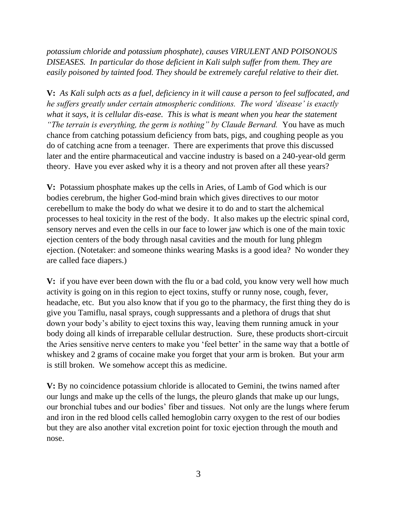*potassium chloride and potassium phosphate), causes VIRULENT AND POISONOUS DISEASES. In particular do those deficient in Kali sulph suffer from them. They are easily poisoned by tainted food. They should be extremely careful relative to their diet.*

**V:** *As Kali sulph acts as a fuel, deficiency in it will cause a person to feel suffocated, and he suffers greatly under certain atmospheric conditions. The word 'disease' is exactly what it says, it is cellular dis-ease. This is what is meant when you hear the statement "The terrain is everything, the germ is nothing" by Claude Bernard.* You have as much chance from catching potassium deficiency from bats, pigs, and coughing people as you do of catching acne from a teenager. There are experiments that prove this discussed later and the entire pharmaceutical and vaccine industry is based on a 240-year-old germ theory. Have you ever asked why it is a theory and not proven after all these years?

**V:** Potassium phosphate makes up the cells in Aries, of Lamb of God which is our bodies cerebrum, the higher God-mind brain which gives directives to our motor cerebellum to make the body do what we desire it to do and to start the alchemical processes to heal toxicity in the rest of the body. It also makes up the electric spinal cord, sensory nerves and even the cells in our face to lower jaw which is one of the main toxic ejection centers of the body through nasal cavities and the mouth for lung phlegm ejection. (Notetaker: and someone thinks wearing Masks is a good idea? No wonder they are called face diapers.)

**V:** if you have ever been down with the flu or a bad cold, you know very well how much activity is going on in this region to eject toxins, stuffy or runny nose, cough, fever, headache, etc. But you also know that if you go to the pharmacy, the first thing they do is give you Tamiflu, nasal sprays, cough suppressants and a plethora of drugs that shut down your body's ability to eject toxins this way, leaving them running amuck in your body doing all kinds of irreparable cellular destruction. Sure, these products short-circuit the Aries sensitive nerve centers to make you 'feel better' in the same way that a bottle of whiskey and 2 grams of cocaine make you forget that your arm is broken. But your arm is still broken. We somehow accept this as medicine.

**V:** By no coincidence potassium chloride is allocated to Gemini, the twins named after our lungs and make up the cells of the lungs, the pleuro glands that make up our lungs, our bronchial tubes and our bodies' fiber and tissues. Not only are the lungs where ferum and iron in the red blood cells called hemoglobin carry oxygen to the rest of our bodies but they are also another vital excretion point for toxic ejection through the mouth and nose.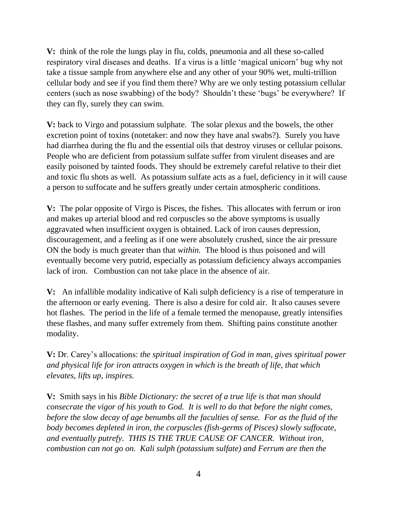**V:** think of the role the lungs play in flu, colds, pneumonia and all these so-called respiratory viral diseases and deaths. If a virus is a little 'magical unicorn' bug why not take a tissue sample from anywhere else and any other of your 90% wet, multi-trillion cellular body and see if you find them there? Why are we only testing potassium cellular centers (such as nose swabbing) of the body? Shouldn't these 'bugs' be everywhere? If they can fly, surely they can swim.

**V:** back to Virgo and potassium sulphate. The solar plexus and the bowels, the other excretion point of toxins (notetaker: and now they have anal swabs?). Surely you have had diarrhea during the flu and the essential oils that destroy viruses or cellular poisons. People who are deficient from potassium sulfate suffer from virulent diseases and are easily poisoned by tainted foods. They should be extremely careful relative to their diet and toxic flu shots as well. As potassium sulfate acts as a fuel, deficiency in it will cause a person to suffocate and he suffers greatly under certain atmospheric conditions.

**V:** The polar opposite of Virgo is Pisces, the fishes. This allocates with ferrum or iron and makes up arterial blood and red corpuscles so the above symptoms is usually aggravated when insufficient oxygen is obtained. Lack of iron causes depression, discouragement, and a feeling as if one were absolutely crushed, since the air pressure ON the body is much greater than that *within.* The blood is thus poisoned and will eventually become very putrid, especially as potassium deficiency always accompanies lack of iron. Combustion can not take place in the absence of air.

**V:** An infallible modality indicative of Kali sulph deficiency is a rise of temperature in the afternoon or early evening. There is also a desire for cold air. It also causes severe hot flashes. The period in the life of a female termed the menopause, greatly intensifies these flashes, and many suffer extremely from them. Shifting pains constitute another modality.

**V:** Dr. Carey's allocations: *the spiritual inspiration of God in man, gives spiritual power and physical life for iron attracts oxygen in which is the breath of life, that which elevates, lifts up, inspires.* 

**V:** Smith says in his *Bible Dictionary: the secret of a true life is that man should consecrate the vigor of his youth to God. It is well to do that before the night comes, before the slow decay of age benumbs all the faculties of sense. For as the fluid of the body becomes depleted in iron, the corpuscles (fish-germs of Pisces) slowly suffocate, and eventually putrefy. THIS IS THE TRUE CAUSE OF CANCER. Without iron, combustion can not go on. Kali sulph (potassium sulfate) and Ferrum are then the*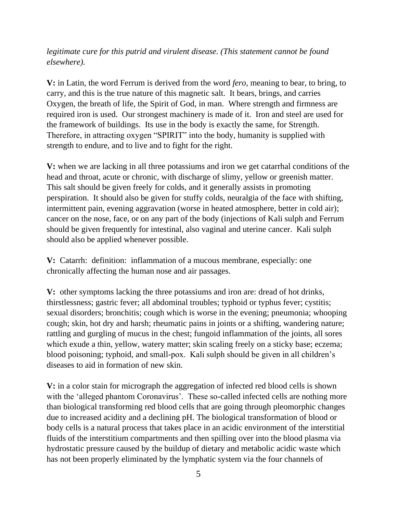*legitimate cure for this putrid and virulent disease. (This statement cannot be found elsewhere).* 

**V:** in Latin, the word Ferrum is derived from the word *fero,* meaning to bear, to bring, to carry, and this is the true nature of this magnetic salt. It bears, brings, and carries Oxygen, the breath of life, the Spirit of God, in man. Where strength and firmness are required iron is used. Our strongest machinery is made of it. Iron and steel are used for the framework of buildings. Its use in the body is exactly the same, for Strength. Therefore, in attracting oxygen "SPIRIT" into the body, humanity is supplied with strength to endure, and to live and to fight for the right.

**V:** when we are lacking in all three potassiums and iron we get catarrhal conditions of the head and throat, acute or chronic, with discharge of slimy, yellow or greenish matter. This salt should be given freely for colds, and it generally assists in promoting perspiration. It should also be given for stuffy colds, neuralgia of the face with shifting, intermittent pain, evening aggravation (worse in heated atmosphere, better in cold air); cancer on the nose, face, or on any part of the body (injections of Kali sulph and Ferrum should be given frequently for intestinal, also vaginal and uterine cancer. Kali sulph should also be applied whenever possible.

**V:** Catarrh: definition: inflammation of a mucous membrane, especially: one chronically affecting the human nose and air passages.

**V:** other symptoms lacking the three potassiums and iron are: dread of hot drinks, thirstlessness; gastric fever; all abdominal troubles; typhoid or typhus fever; cystitis; sexual disorders; bronchitis; cough which is worse in the evening; pneumonia; whooping cough; skin, hot dry and harsh; rheumatic pains in joints or a shifting, wandering nature; rattling and gurgling of mucus in the chest; fungoid inflammation of the joints, all sores which exude a thin, yellow, watery matter; skin scaling freely on a sticky base; eczema; blood poisoning; typhoid, and small-pox. Kali sulph should be given in all children's diseases to aid in formation of new skin.

**V:** in a color stain for micrograph the aggregation of infected red blood cells is shown with the 'alleged phantom Coronavirus'. These so-called infected cells are nothing more than biological transforming red blood cells that are going through pleomorphic changes due to increased acidity and a declining pH. The biological transformation of blood or body cells is a natural process that takes place in an acidic environment of the interstitial fluids of the interstitium compartments and then spilling over into the blood plasma via hydrostatic pressure caused by the buildup of dietary and metabolic acidic waste which has not been properly eliminated by the lymphatic system via the four channels of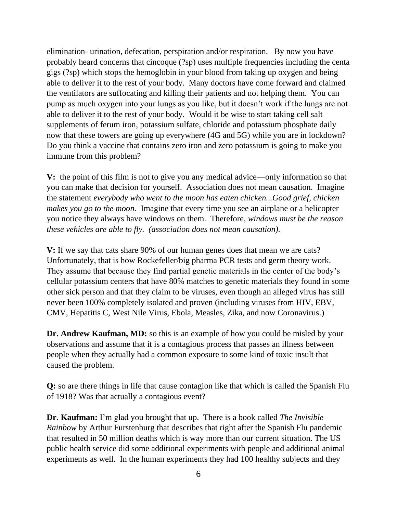elimination- urination, defecation, perspiration and/or respiration. By now you have probably heard concerns that cincoque (?sp) uses multiple frequencies including the centa gigs (?sp) which stops the hemoglobin in your blood from taking up oxygen and being able to deliver it to the rest of your body. Many doctors have come forward and claimed the ventilators are suffocating and killing their patients and not helping them. You can pump as much oxygen into your lungs as you like, but it doesn't work if the lungs are not able to deliver it to the rest of your body. Would it be wise to start taking cell salt supplements of ferum iron, potassium sulfate, chloride and potassium phosphate daily now that these towers are going up everywhere (4G and 5G) while you are in lockdown? Do you think a vaccine that contains zero iron and zero potassium is going to make you immune from this problem?

**V:** the point of this film is not to give you any medical advice—only information so that you can make that decision for yourself. Association does not mean causation. Imagine the statement *everybody who went to the moon has eaten chicken...Good grief, chicken makes you go to the moon.* Imagine that every time you see an airplane or a helicopter you notice they always have windows on them. Therefore, *windows must be the reason these vehicles are able to fly. (association does not mean causation).*

**V:** If we say that cats share 90% of our human genes does that mean we are cats? Unfortunately, that is how Rockefeller/big pharma PCR tests and germ theory work. They assume that because they find partial genetic materials in the center of the body's cellular potassium centers that have 80% matches to genetic materials they found in some other sick person and that they claim to be viruses, even though an alleged virus has still never been 100% completely isolated and proven (including viruses from HIV, EBV, CMV, Hepatitis C, West Nile Virus, Ebola, Measles, Zika, and now Coronavirus.)

**Dr. Andrew Kaufman, MD:** so this is an example of how you could be misled by your observations and assume that it is a contagious process that passes an illness between people when they actually had a common exposure to some kind of toxic insult that caused the problem.

**Q:** so are there things in life that cause contagion like that which is called the Spanish Flu of 1918? Was that actually a contagious event?

**Dr. Kaufman:** I'm glad you brought that up. There is a book called *The Invisible Rainbow* by Arthur Furstenburg that describes that right after the Spanish Flu pandemic that resulted in 50 million deaths which is way more than our current situation. The US public health service did some additional experiments with people and additional animal experiments as well. In the human experiments they had 100 healthy subjects and they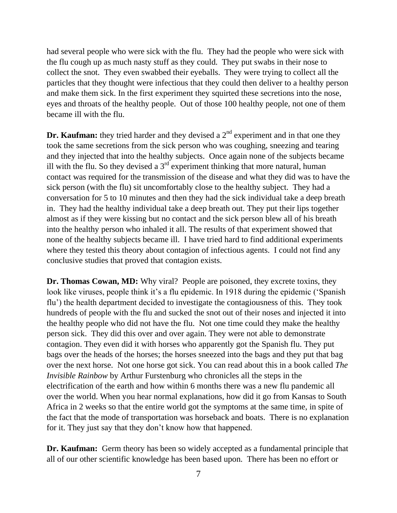had several people who were sick with the flu. They had the people who were sick with the flu cough up as much nasty stuff as they could. They put swabs in their nose to collect the snot. They even swabbed their eyeballs. They were trying to collect all the particles that they thought were infectious that they could then deliver to a healthy person and make them sick. In the first experiment they squirted these secretions into the nose, eyes and throats of the healthy people. Out of those 100 healthy people, not one of them became ill with the flu.

**Dr. Kaufman:** they tried harder and they devised a  $2<sup>nd</sup>$  experiment and in that one they took the same secretions from the sick person who was coughing, sneezing and tearing and they injected that into the healthy subjects. Once again none of the subjects became ill with the flu. So they devised a  $3<sup>rd</sup>$  experiment thinking that more natural, human contact was required for the transmission of the disease and what they did was to have the sick person (with the flu) sit uncomfortably close to the healthy subject. They had a conversation for 5 to 10 minutes and then they had the sick individual take a deep breath in. They had the healthy individual take a deep breath out. They put their lips together almost as if they were kissing but no contact and the sick person blew all of his breath into the healthy person who inhaled it all. The results of that experiment showed that none of the healthy subjects became ill. I have tried hard to find additional experiments where they tested this theory about contagion of infectious agents. I could not find any conclusive studies that proved that contagion exists.

**Dr. Thomas Cowan, MD:** Why viral? People are poisoned, they excrete toxins, they look like viruses, people think it's a flu epidemic. In 1918 during the epidemic ('Spanish flu') the health department decided to investigate the contagiousness of this. They took hundreds of people with the flu and sucked the snot out of their noses and injected it into the healthy people who did not have the flu. Not one time could they make the healthy person sick. They did this over and over again. They were not able to demonstrate contagion. They even did it with horses who apparently got the Spanish flu. They put bags over the heads of the horses; the horses sneezed into the bags and they put that bag over the next horse. Not one horse got sick. You can read about this in a book called *The Invisible Rainbow* by Arthur Furstenburg who chronicles all the steps in the electrification of the earth and how within 6 months there was a new flu pandemic all over the world. When you hear normal explanations, how did it go from Kansas to South Africa in 2 weeks so that the entire world got the symptoms at the same time, in spite of the fact that the mode of transportation was horseback and boats. There is no explanation for it. They just say that they don't know how that happened.

**Dr. Kaufman:** Germ theory has been so widely accepted as a fundamental principle that all of our other scientific knowledge has been based upon. There has been no effort or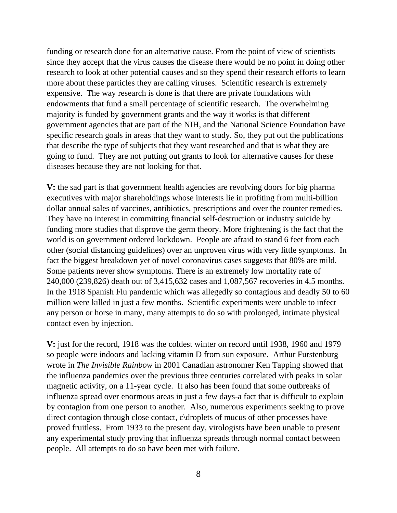funding or research done for an alternative cause. From the point of view of scientists since they accept that the virus causes the disease there would be no point in doing other research to look at other potential causes and so they spend their research efforts to learn more about these particles they are calling viruses. Scientific research is extremely expensive. The way research is done is that there are private foundations with endowments that fund a small percentage of scientific research. The overwhelming majority is funded by government grants and the way it works is that different government agencies that are part of the NIH, and the National Science Foundation have specific research goals in areas that they want to study. So, they put out the publications that describe the type of subjects that they want researched and that is what they are going to fund. They are not putting out grants to look for alternative causes for these diseases because they are not looking for that.

**V:** the sad part is that government health agencies are revolving doors for big pharma executives with major shareholdings whose interests lie in profiting from multi-billion dollar annual sales of vaccines, antibiotics, prescriptions and over the counter remedies. They have no interest in committing financial self-destruction or industry suicide by funding more studies that disprove the germ theory. More frightening is the fact that the world is on government ordered lockdown. People are afraid to stand 6 feet from each other (social distancing guidelines) over an unproven virus with very little symptoms. In fact the biggest breakdown yet of novel coronavirus cases suggests that 80% are mild. Some patients never show symptoms. There is an extremely low mortality rate of 240,000 (239,826) death out of 3,415,632 cases and 1,087,567 recoveries in 4.5 months. In the 1918 Spanish Flu pandemic which was allegedly so contagious and deadly 50 to 60 million were killed in just a few months. Scientific experiments were unable to infect any person or horse in many, many attempts to do so with prolonged, intimate physical contact even by injection.

**V:** just for the record, 1918 was the coldest winter on record until 1938, 1960 and 1979 so people were indoors and lacking vitamin D from sun exposure. Arthur Furstenburg wrote in *The Invisible Rainbow* in 2001 Canadian astronomer Ken Tapping showed that the influenza pandemics over the previous three centuries correlated with peaks in solar magnetic activity, on a 11-year cycle. It also has been found that some outbreaks of influenza spread over enormous areas in just a few days-a fact that is difficult to explain by contagion from one person to another. Also, numerous experiments seeking to prove direct contagion through close contact, c\droplets of mucus of other processes have proved fruitless. From 1933 to the present day, virologists have been unable to present any experimental study proving that influenza spreads through normal contact between people. All attempts to do so have been met with failure.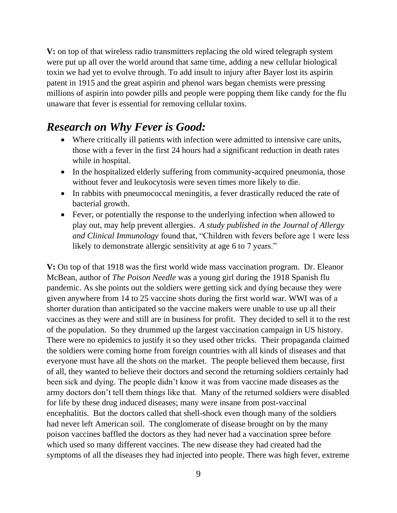**V:** on top of that wireless radio transmitters replacing the old wired telegraph system were put up all over the world around that same time, adding a new cellular biological toxin we had yet to evolve through. To add insult to injury after Bayer lost its aspirin patent in 1915 and the great aspirin and phenol wars began chemists were pressing millions of aspirin into powder pills and people were popping them like candy for the flu unaware that fever is essential for removing cellular toxins.

### *Research on Why Fever is Good:*

- Where critically ill patients with infection were admitted to intensive care units, those with a fever in the first 24 hours had a significant reduction in death rates while in hospital.
- In the hospitalized elderly suffering from community-acquired pneumonia, those without fever and leukocytosis were seven times more likely to die.
- In rabbits with pneumococcal meningitis, a fever drastically reduced the rate of bacterial growth.
- Fever, or potentially the response to the underlying infection when allowed to play out, may help prevent allergies. *A study published in the Journal of Allergy and Clinical Immunology* found that, "Children with fevers before age 1 were less likely to demonstrate allergic sensitivity at age 6 to 7 years."

**V:** On top of that 1918 was the first world wide mass vaccination program. Dr. Eleanor McBean, author of *The Poison Needle* was a young girl during the 1918 Spanish flu pandemic. As she points out the soldiers were getting sick and dying because they were given anywhere from 14 to 25 vaccine shots during the first world war. WWI was of a shorter duration than anticipated so the vaccine makers were unable to use up all their vaccines as they were and still are in business for profit. They decided to sell it to the rest of the population. So they drummed up the largest vaccination campaign in US history. There were no epidemics to justify it so they used other tricks. Their propaganda claimed the soldiers were coming home from foreign countries with all kinds of diseases and that everyone must have all the shots on the market. The people believed them because, first of all, they wanted to believe their doctors and second the returning soldiers certainly had been sick and dying. The people didn't know it was from vaccine made diseases as the army doctors don't tell them things like that. Many of the returned soldiers were disabled for life by these drug induced diseases; many were insane from post-vaccinal encephalitis. But the doctors called that shell-shock even though many of the soldiers had never left American soil. The conglomerate of disease brought on by the many poison vaccines baffled the doctors as they had never had a vaccination spree before which used so many different vaccines. The new disease they had created had the symptoms of all the diseases they had injected into people. There was high fever, extreme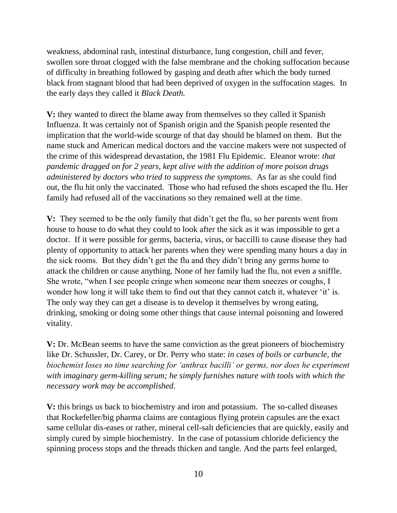weakness, abdominal rash, intestinal disturbance, lung congestion, chill and fever, swollen sore throat clogged with the false membrane and the choking suffocation because of difficulty in breathing followed by gasping and death after which the body turned black from stagnant blood that had been deprived of oxygen in the suffocation stages. In the early days they called it *Black Death.*

**V:** they wanted to direct the blame away from themselves so they called it Spanish Influenza. It was certainly not of Spanish origin and the Spanish people resented the implication that the world-wide scourge of that day should be blamed on them. But the name stuck and American medical doctors and the vaccine makers were not suspected of the crime of this widespread devastation, the 1981 Flu Epidemic. Eleanor wrote: *that pandemic dragged on for 2 years, kept alive with the addition of more poison drugs administered by doctors who tried to suppress the symptoms.* As far as she could find out, the flu hit only the vaccinated. Those who had refused the shots escaped the flu. Her family had refused all of the vaccinations so they remained well at the time.

**V:** They seemed to be the only family that didn't get the flu, so her parents went from house to house to do what they could to look after the sick as it was impossible to get a doctor. If it were possible for germs, bacteria, virus, or baccilli to cause disease they had plenty of opportunity to attack her parents when they were spending many hours a day in the sick rooms. But they didn't get the flu and they didn't bring any germs home to attack the children or cause anything. None of her family had the flu, not even a sniffle. She wrote, "when I see people cringe when someone near them sneezes or coughs, I wonder how long it will take them to find out that they cannot catch it, whatever 'it' is. The only way they can get a disease is to develop it themselves by wrong eating, drinking, smoking or doing some other things that cause internal poisoning and lowered vitality.

**V:** Dr. McBean seems to have the same conviction as the great pioneers of biochemistry like Dr. Schussler, Dr. Carey, or Dr. Perry who state: *in cases of boils or carbuncle, the biochemist loses no time searching for 'anthrax bacilli' or germs, nor does he experiment with imaginary germ-killing serum; he simply furnishes nature with tools with which the necessary work may be accomplished.* 

**V:** this brings us back to biochemistry and iron and potassium. The so-called diseases that Rockefeller/big pharma claims are contagious flying protein capsules are the exact same cellular dis-eases or rather, mineral cell-salt deficiencies that are quickly, easily and simply cured by simple biochemistry. In the case of potassium chloride deficiency the spinning process stops and the threads thicken and tangle. And the parts feel enlarged,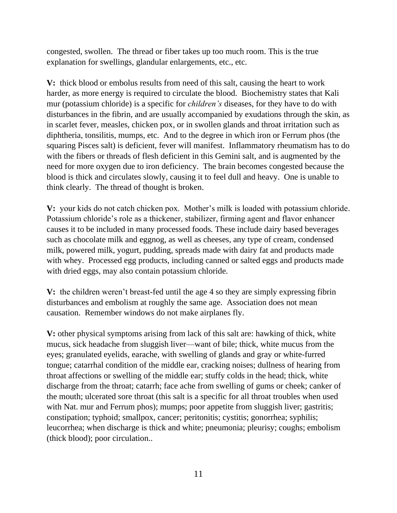congested, swollen. The thread or fiber takes up too much room. This is the true explanation for swellings, glandular enlargements, etc., etc.

**V:** thick blood or embolus results from need of this salt, causing the heart to work harder, as more energy is required to circulate the blood. Biochemistry states that Kali mur (potassium chloride) is a specific for *children's* diseases, for they have to do with disturbances in the fibrin, and are usually accompanied by exudations through the skin, as in scarlet fever, measles, chicken pox, or in swollen glands and throat irritation such as diphtheria, tonsilitis, mumps, etc. And to the degree in which iron or Ferrum phos (the squaring Pisces salt) is deficient, fever will manifest. Inflammatory rheumatism has to do with the fibers or threads of flesh deficient in this Gemini salt, and is augmented by the need for more oxygen due to iron deficiency. The brain becomes congested because the blood is thick and circulates slowly, causing it to feel dull and heavy. One is unable to think clearly. The thread of thought is broken.

**V:** your kids do not catch chicken pox. Mother's milk is loaded with potassium chloride. Potassium chloride's role as a thickener, stabilizer, firming agent and flavor enhancer causes it to be included in many processed foods. These include dairy based beverages such as chocolate milk and eggnog, as well as cheeses, any type of cream, condensed milk, powered milk, yogurt, pudding, spreads made with dairy fat and products made with whey. Processed egg products, including canned or salted eggs and products made with dried eggs, may also contain potassium chloride.

**V:** the children weren't breast-fed until the age 4 so they are simply expressing fibrin disturbances and embolism at roughly the same age. Association does not mean causation. Remember windows do not make airplanes fly.

**V:** other physical symptoms arising from lack of this salt are: hawking of thick, white mucus, sick headache from sluggish liver—want of bile; thick, white mucus from the eyes; granulated eyelids, earache, with swelling of glands and gray or white-furred tongue; catarrhal condition of the middle ear, cracking noises; dullness of hearing from throat affections or swelling of the middle ear; stuffy colds in the head; thick, white discharge from the throat; catarrh; face ache from swelling of gums or cheek; canker of the mouth; ulcerated sore throat (this salt is a specific for all throat troubles when used with Nat. mur and Ferrum phos); mumps; poor appetite from sluggish liver; gastritis; constipation; typhoid; smallpox, cancer; peritonitis; cystitis; gonorrhea; syphilis; leucorrhea; when discharge is thick and white; pneumonia; pleurisy; coughs; embolism (thick blood); poor circulation..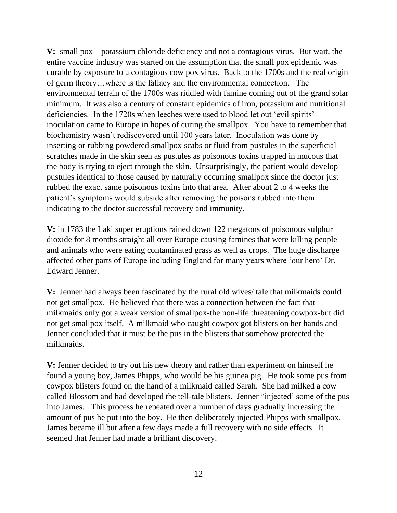**V:** small pox—potassium chloride deficiency and not a contagious virus. But wait, the entire vaccine industry was started on the assumption that the small pox epidemic was curable by exposure to a contagious cow pox virus. Back to the 1700s and the real origin of germ theory…where is the fallacy and the environmental connection. The environmental terrain of the 1700s was riddled with famine coming out of the grand solar minimum. It was also a century of constant epidemics of iron, potassium and nutritional deficiencies. In the 1720s when leeches were used to blood let out 'evil spirits' inoculation came to Europe in hopes of curing the smallpox. You have to remember that biochemistry wasn't rediscovered until 100 years later. Inoculation was done by inserting or rubbing powdered smallpox scabs or fluid from pustules in the superficial scratches made in the skin seen as pustules as poisonous toxins trapped in mucous that the body is trying to eject through the skin. Unsurprisingly, the patient would develop pustules identical to those caused by naturally occurring smallpox since the doctor just rubbed the exact same poisonous toxins into that area. After about 2 to 4 weeks the patient's symptoms would subside after removing the poisons rubbed into them indicating to the doctor successful recovery and immunity.

**V:** in 1783 the Laki super eruptions rained down 122 megatons of poisonous sulphur dioxide for 8 months straight all over Europe causing famines that were killing people and animals who were eating contaminated grass as well as crops. The huge discharge affected other parts of Europe including England for many years where 'our hero' Dr. Edward Jenner.

**V:** Jenner had always been fascinated by the rural old wives/ tale that milkmaids could not get smallpox. He believed that there was a connection between the fact that milkmaids only got a weak version of smallpox-the non-life threatening cowpox-but did not get smallpox itself. A milkmaid who caught cowpox got blisters on her hands and Jenner concluded that it must be the pus in the blisters that somehow protected the milkmaids.

**V:** Jenner decided to try out his new theory and rather than experiment on himself he found a young boy, James Phipps, who would be his guinea pig. He took some pus from cowpox blisters found on the hand of a milkmaid called Sarah. She had milked a cow called Blossom and had developed the tell-tale blisters. Jenner "injected' some of the pus into James. This process he repeated over a number of days gradually increasing the amount of pus he put into the boy. He then deliberately injected Phipps with smallpox. James became ill but after a few days made a full recovery with no side effects. It seemed that Jenner had made a brilliant discovery.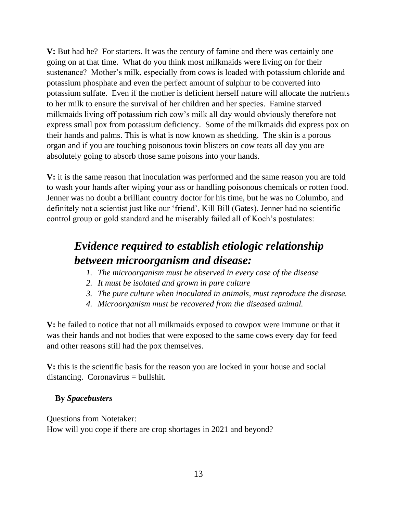**V:** But had he? For starters. It was the century of famine and there was certainly one going on at that time. What do you think most milkmaids were living on for their sustenance? Mother's milk, especially from cows is loaded with potassium chloride and potassium phosphate and even the perfect amount of sulphur to be converted into potassium sulfate. Even if the mother is deficient herself nature will allocate the nutrients to her milk to ensure the survival of her children and her species. Famine starved milkmaids living off potassium rich cow's milk all day would obviously therefore not express small pox from potassium deficiency. Some of the milkmaids did express pox on their hands and palms. This is what is now known as shedding. The skin is a porous organ and if you are touching poisonous toxin blisters on cow teats all day you are absolutely going to absorb those same poisons into your hands.

**V:** it is the same reason that inoculation was performed and the same reason you are told to wash your hands after wiping your ass or handling poisonous chemicals or rotten food. Jenner was no doubt a brilliant country doctor for his time, but he was no Columbo, and definitely not a scientist just like our 'friend', Kill Bill (Gates). Jenner had no scientific control group or gold standard and he miserably failed all of Koch's postulates:

## *Evidence required to establish etiologic relationship between microorganism and disease:*

- *1. The microorganism must be observed in every case of the disease*
- *2. It must be isolated and grown in pure culture*
- *3. The pure culture when inoculated in animals, must reproduce the disease.*
- *4. Microorganism must be recovered from the diseased animal.*

**V:** he failed to notice that not all milkmaids exposed to cowpox were immune or that it was their hands and not bodies that were exposed to the same cows every day for feed and other reasons still had the pox themselves.

**V:** this is the scientific basis for the reason you are locked in your house and social distancing. Coronavirus = bullshit.

#### **By** *Spacebusters*

Questions from Notetaker: How will you cope if there are crop shortages in 2021 and beyond?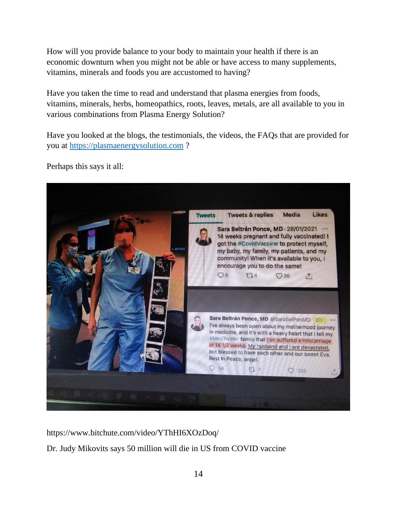How will you provide balance to your body to maintain your health if there is an economic downturn when you might not be able or have access to many supplements, vitamins, minerals and foods you are accustomed to having?

Have you taken the time to read and understand that plasma energies from foods, vitamins, minerals, herbs, homeopathics, roots, leaves, metals, are all available to you in various combinations from Plasma Energy Solution?

Have you looked at the blogs, the testimonials, the videos, the FAQs that are provided for you at [https://plasmaenergysolution.com](https://plasmaenergysolution.com/) ?



Perhaps this says it all:

https://www.bitchute.com/video/YThHI6XOzDoq/

Dr. Judy Mikovits says 50 million will die in US from COVID vaccine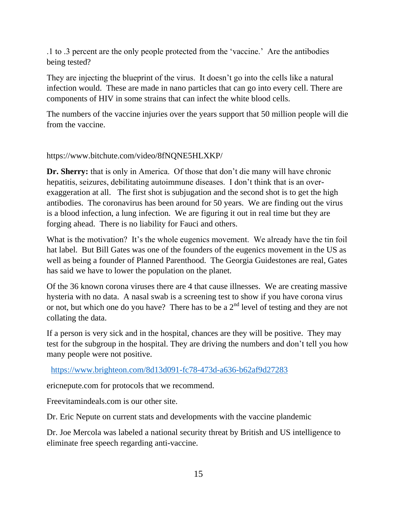.1 to .3 percent are the only people protected from the 'vaccine.' Are the antibodies being tested?

They are injecting the blueprint of the virus. It doesn't go into the cells like a natural infection would. These are made in nano particles that can go into every cell. There are components of HIV in some strains that can infect the white blood cells.

The numbers of the vaccine injuries over the years support that 50 million people will die from the vaccine.

https://www.bitchute.com/video/8fNQNE5HLXKP/

**Dr. Sherry:** that is only in America. Of those that don't die many will have chronic hepatitis, seizures, debilitating autoimmune diseases. I don't think that is an overexaggeration at all. The first shot is subjugation and the second shot is to get the high antibodies. The coronavirus has been around for 50 years. We are finding out the virus is a blood infection, a lung infection. We are figuring it out in real time but they are forging ahead. There is no liability for Fauci and others.

What is the motivation? It's the whole eugenics movement. We already have the tin foil hat label. But Bill Gates was one of the founders of the eugenics movement in the US as well as being a founder of Planned Parenthood. The Georgia Guidestones are real, Gates has said we have to lower the population on the planet.

Of the 36 known corona viruses there are 4 that cause illnesses. We are creating massive hysteria with no data. A nasal swab is a screening test to show if you have corona virus or not, but which one do you have? There has to be a  $2<sup>nd</sup>$  level of testing and they are not collating the data.

If a person is very sick and in the hospital, chances are they will be positive. They may test for the subgroup in the hospital. They are driving the numbers and don't tell you how many people were not positive.

<https://www.brighteon.com/8d13d091-fc78-473d-a636-b62af9d27283>

ericnepute.com for protocols that we recommend.

Freevitamindeals.com is our other site.

Dr. Eric Nepute on current stats and developments with the vaccine plandemic

Dr. Joe Mercola was labeled a national security threat by British and US intelligence to eliminate free speech regarding anti-vaccine.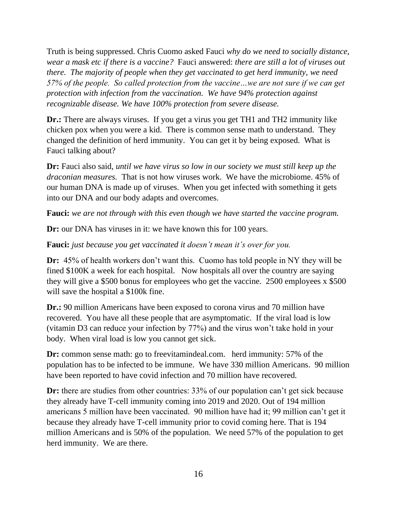Truth is being suppressed. Chris Cuomo asked Fauci *why do we need to socially distance, wear a mask etc if there is a vaccine?* Fauci answered: *there are still a lot of viruses out there. The majority of people when they get vaccinated to get herd immunity, we need 57% of the people. So called protection from the vaccine…we are not sure if we can get protection with infection from the vaccination. We have 94% protection against recognizable disease. We have 100% protection from severe disease.* 

**Dr.:** There are always viruses. If you get a virus you get TH1 and TH2 immunity like chicken pox when you were a kid. There is common sense math to understand. They changed the definition of herd immunity. You can get it by being exposed. What is Fauci talking about?

**Dr:** Fauci also said, *until we have virus so low in our society we must still keep up the draconian measures.* That is not how viruses work. We have the microbiome. 45% of our human DNA is made up of viruses. When you get infected with something it gets into our DNA and our body adapts and overcomes.

**Fauci:** *we are not through with this even though we have started the vaccine program.* 

**Dr:** our DNA has viruses in it: we have known this for 100 years.

**Fauci:** *just because you get vaccinated it doesn't mean it's over for you.*

**Dr:** 45% of health workers don't want this. Cuomo has told people in NY they will be fined \$100K a week for each hospital. Now hospitals all over the country are saying they will give a \$500 bonus for employees who get the vaccine. 2500 employees x \$500 will save the hospital a \$100k fine.

**Dr.:** 90 million Americans have been exposed to corona virus and 70 million have recovered. You have all these people that are asymptomatic. If the viral load is low (vitamin D3 can reduce your infection by 77%) and the virus won't take hold in your body. When viral load is low you cannot get sick.

**Dr:** common sense math: go to freevitamindeal.com. herd immunity: 57% of the population has to be infected to be immune. We have 330 million Americans. 90 million have been reported to have covid infection and 70 million have recovered.

**Dr:** there are studies from other countries: 33% of our population can't get sick because they already have T-cell immunity coming into 2019 and 2020. Out of 194 million americans 5 million have been vaccinated. 90 million have had it; 99 million can't get it because they already have T-cell immunity prior to covid coming here. That is 194 million Americans and is 50% of the population. We need 57% of the population to get herd immunity. We are there.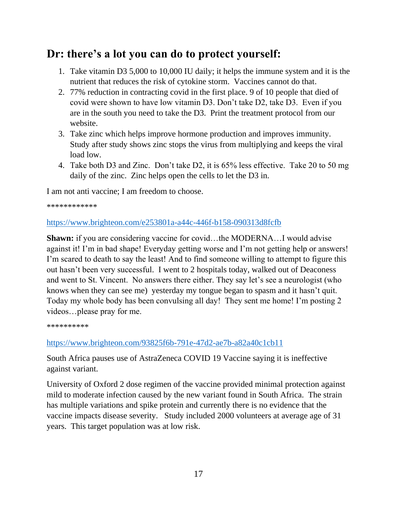### **Dr: there's a lot you can do to protect yourself:**

- 1. Take vitamin D3 5,000 to 10,000 IU daily; it helps the immune system and it is the nutrient that reduces the risk of cytokine storm. Vaccines cannot do that.
- 2. 77% reduction in contracting covid in the first place. 9 of 10 people that died of covid were shown to have low vitamin D3. Don't take D2, take D3. Even if you are in the south you need to take the D3. Print the treatment protocol from our website.
- 3. Take zinc which helps improve hormone production and improves immunity. Study after study shows zinc stops the virus from multiplying and keeps the viral load low.
- 4. Take both D3 and Zinc. Don't take D2, it is 65% less effective. Take 20 to 50 mg daily of the zinc. Zinc helps open the cells to let the D3 in.

I am not anti vaccine; I am freedom to choose.

\*\*\*\*\*\*\*\*\*\*\*\*

#### <https://www.brighteon.com/e253801a-a44c-446f-b158-090313d8fcfb>

**Shawn:** if you are considering vaccine for covid...the MODERNA...I would advise against it! I'm in bad shape! Everyday getting worse and I'm not getting help or answers! I'm scared to death to say the least! And to find someone willing to attempt to figure this out hasn't been very successful. I went to 2 hospitals today, walked out of Deaconess and went to St. Vincent. No answers there either. They say let's see a neurologist (who knows when they can see me) yesterday my tongue began to spasm and it hasn't quit. Today my whole body has been convulsing all day! They sent me home! I'm posting 2 videos…please pray for me.

\*\*\*\*\*\*\*\*\*\*

#### <https://www.brighteon.com/93825f6b-791e-47d2-ae7b-a82a40c1cb11>

South Africa pauses use of AstraZeneca COVID 19 Vaccine saying it is ineffective against variant.

University of Oxford 2 dose regimen of the vaccine provided minimal protection against mild to moderate infection caused by the new variant found in South Africa. The strain has multiple variations and spike protein and currently there is no evidence that the vaccine impacts disease severity. Study included 2000 volunteers at average age of 31 years. This target population was at low risk.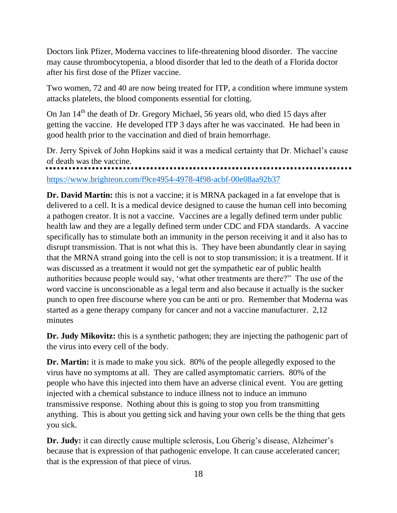Doctors link Pfizer, Moderna vaccines to life-threatening blood disorder. The vaccine may cause thrombocytopenia, a blood disorder that led to the death of a Florida doctor after his first dose of the Pfizer vaccine.

Two women, 72 and 40 are now being treated for ITP, a condition where immune system attacks platelets, the blood components essential for clotting.

On Jan  $14<sup>th</sup>$  the death of Dr. Gregory Michael, 56 years old, who died 15 days after getting the vaccine. He developed ITP 3 days after he was vaccinated. He had been in good health prior to the vaccination and died of brain hemorrhage.

Dr. Jerry Spivek of John Hopkins said it was a medical certainty that Dr. Michael's cause of death was the vaccine.

<https://www.brighteon.com/f9ce4954-4978-4f98-acbf-00e08aa92b37>

**Dr. David Martin:** this is not a vaccine; it is MRNA packaged in a fat envelope that is delivered to a cell. It is a medical device designed to cause the human cell into becoming a pathogen creator. It is not a vaccine. Vaccines are a legally defined term under public health law and they are a legally defined term under CDC and FDA standards. A vaccine specifically has to stimulate both an immunity in the person receiving it and it also has to disrupt transmission. That is not what this is. They have been abundantly clear in saying that the MRNA strand going into the cell is not to stop transmission; it is a treatment. If it was discussed as a treatment it would not get the sympathetic ear of public health authorities because people would say, 'what other treatments are there?" The use of the word vaccine is unconscionable as a legal term and also because it actually is the sucker punch to open free discourse where you can be anti or pro. Remember that Moderna was started as a gene therapy company for cancer and not a vaccine manufacturer. 2,12 minutes

**Dr. Judy Mikovitz:** this is a synthetic pathogen; they are injecting the pathogenic part of the virus into every cell of the body.

**Dr. Martin:** it is made to make you sick. 80% of the people allegedly exposed to the virus have no symptoms at all. They are called asymptomatic carriers. 80% of the people who have this injected into them have an adverse clinical event. You are getting injected with a chemical substance to induce illness not to induce an immuno transmissive response. Nothing about this is going to stop you from transmitting anything. This is about you getting sick and having your own cells be the thing that gets you sick.

**Dr. Judy:** it can directly cause multiple sclerosis, Lou Gherig's disease, Alzheimer's because that is expression of that pathogenic envelope. It can cause accelerated cancer; that is the expression of that piece of virus.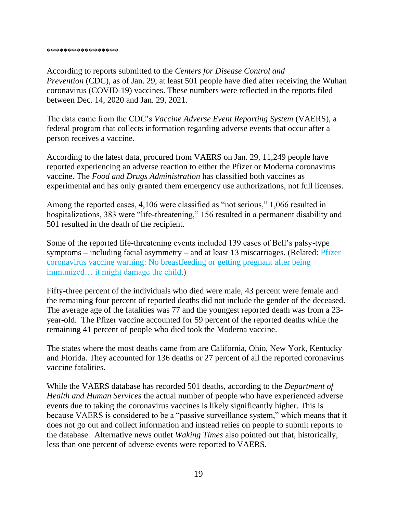According to reports submitted to the *Centers for Disease Control and Prevention* (CDC), as of Jan. 29, at least 501 people have died after receiving the Wuhan coronavirus (COVID-19) vaccines. These numbers were reflected in the reports filed between Dec. 14, 2020 and Jan. 29, 2021.

The data came from the CDC's *Vaccine Adverse Event Reporting System* (VAERS), a federal program that collects information regarding adverse events that occur after a person receives a vaccine.

According to the latest data, procured from VAERS on Jan. 29, 11,249 people have reported experiencing an adverse reaction to either the Pfizer or Moderna coronavirus vaccine. The *Food and Drugs Administration* has classified both vaccines as experimental and has only granted them emergency use authorizations, not full licenses.

Among the reported cases, 4,106 were classified as "not serious," 1,066 resulted in hospitalizations, 383 were "life-threatening," 156 resulted in a permanent disability and 501 resulted in the death of the recipient.

Some of the reported life-threatening events included 139 cases of Bell's palsy-type symptoms **–** including facial asymmetry **–** and at least 13 miscarriages. (Related: [Pfizer](https://www.naturalnews.com/2020-12-08-pfizer-coronavirus-vaccine-no-breastfeeding-getting-pregnant.html)  [coronavirus vaccine warning: No breastfeeding or getting pregnant after being](https://www.naturalnews.com/2020-12-08-pfizer-coronavirus-vaccine-no-breastfeeding-getting-pregnant.html)  [immunized… it might damage the child.](https://www.naturalnews.com/2020-12-08-pfizer-coronavirus-vaccine-no-breastfeeding-getting-pregnant.html))

Fifty-three percent of the individuals who died were male, 43 percent were female and the remaining four percent of reported deaths did not include the gender of the deceased. The average age of the fatalities was 77 and the youngest reported death was from a 23 year-old. The Pfizer vaccine accounted for 59 percent of the reported deaths while the remaining 41 percent of people who died took the Moderna vaccine.

The states where the most deaths came from are California, Ohio, New York, Kentucky and Florida. They accounted for 136 deaths or 27 percent of all the reported coronavirus vaccine fatalities.

While the VAERS database has recorded 501 deaths, according to the *Department of Health and Human Services* the actual number of people who have experienced adverse events due to taking the coronavirus vaccines is likely significantly higher. This is because VAERS is considered to be a "passive surveillance system," which means that it does not go out and collect information and instead relies on people to submit reports to the database. Alternative news outlet *Waking Times* also pointed out that, historically, less than one percent of adverse events were reported to VAERS.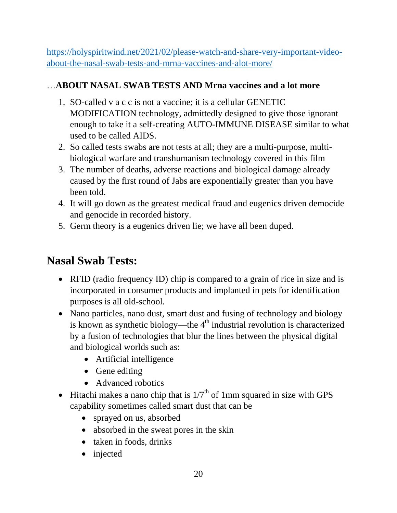[https://holyspiritwind.net/2021/02/please-watch-and-share-very-important-video](https://holyspiritwind.net/2021/02/please-watch-and-share-very-important-video-about-the-nasal-swab-tests-and-mrna-vaccines-and-alot-more/)[about-the-nasal-swab-tests-and-mrna-vaccines-and-alot-more/](https://holyspiritwind.net/2021/02/please-watch-and-share-very-important-video-about-the-nasal-swab-tests-and-mrna-vaccines-and-alot-more/)

### …**ABOUT NASAL SWAB TESTS AND Mrna vaccines and a lot more**

- 1. SO-called v a c c is not a vaccine; it is a cellular GENETIC MODIFICATION technology, admittedly designed to give those ignorant enough to take it a self-creating AUTO-IMMUNE DISEASE similar to what used to be called AIDS.
- 2. So called tests swabs are not tests at all; they are a multi-purpose, multibiological warfare and transhumanism technology covered in this film
- 3. The number of deaths, adverse reactions and biological damage already caused by the first round of Jabs are exponentially greater than you have been told.
- 4. It will go down as the greatest medical fraud and eugenics driven democide and genocide in recorded history.
- 5. Germ theory is a eugenics driven lie; we have all been duped.

## **Nasal Swab Tests:**

- RFID (radio frequency ID) chip is compared to a grain of rice in size and is incorporated in consumer products and implanted in pets for identification purposes is all old-school.
- Nano particles, nano dust, smart dust and fusing of technology and biology is known as synthetic biology—the  $4<sup>th</sup>$  industrial revolution is characterized by a fusion of technologies that blur the lines between the physical digital and biological worlds such as:
	- Artificial intelligence
	- Gene editing
	- Advanced robotics
- Hitachi makes a nano chip that is  $1/7<sup>th</sup>$  of 1mm squared in size with GPS capability sometimes called smart dust that can be
	- sprayed on us, absorbed
	- absorbed in the sweat pores in the skin
	- taken in foods, drinks
	- injected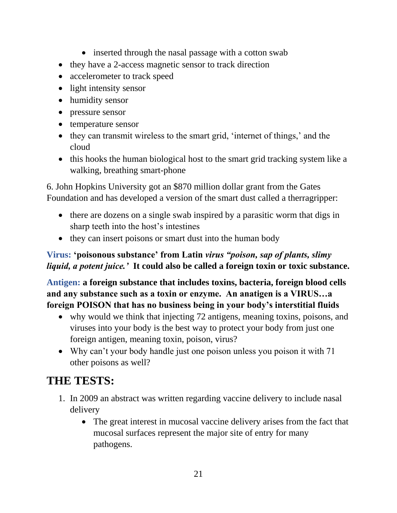- inserted through the nasal passage with a cotton swab
- they have a 2-access magnetic sensor to track direction
- accelerometer to track speed
- light intensity sensor
- humidity sensor
- pressure sensor
- temperature sensor
- they can transmit wireless to the smart grid, 'internet of things,' and the cloud
- this hooks the human biological host to the smart grid tracking system like a walking, breathing smart-phone

6. John Hopkins University got an \$870 million dollar grant from the Gates Foundation and has developed a version of the smart dust called a therragripper:

- there are dozens on a single swab inspired by a parasitic worm that digs in sharp teeth into the host's intestines
- they can insert poisons or smart dust into the human body

#### **Virus: 'poisonous substance' from Latin** *virus "poison, sap of plants, slimy liquid, a potent juice.'* **It could also be called a foreign toxin or toxic substance.**

**Antigen: a foreign substance that includes toxins, bacteria, foreign blood cells and any substance such as a toxin or enzyme. An anatigen is a VIRUS…a foreign POISON that has no business being in your body's interstitial fluids**

- why would we think that injecting 72 antigens, meaning toxins, poisons, and viruses into your body is the best way to protect your body from just one foreign antigen, meaning toxin, poison, virus?
- Why can't your body handle just one poison unless you poison it with 71 other poisons as well?

# **THE TESTS:**

- 1. In 2009 an abstract was written regarding vaccine delivery to include nasal delivery
	- The great interest in mucosal vaccine delivery arises from the fact that mucosal surfaces represent the major site of entry for many pathogens.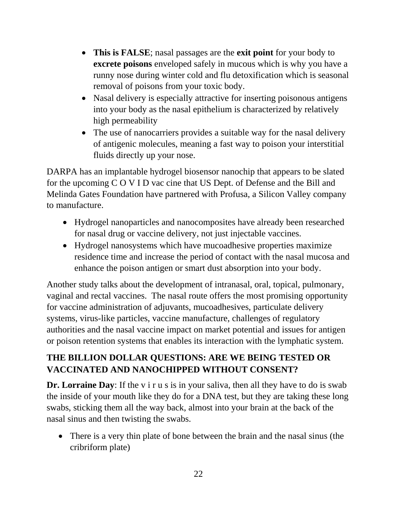- **This is FALSE**; nasal passages are the **exit point** for your body to **excrete poisons** enveloped safely in mucous which is why you have a runny nose during winter cold and flu detoxification which is seasonal removal of poisons from your toxic body.
- Nasal delivery is especially attractive for inserting poisonous antigens into your body as the nasal epithelium is characterized by relatively high permeability
- The use of nanocarriers provides a suitable way for the nasal delivery of antigenic molecules, meaning a fast way to poison your interstitial fluids directly up your nose.

DARPA has an implantable hydrogel biosensor nanochip that appears to be slated for the upcoming C O V I D vac cine that US Dept. of Defense and the Bill and Melinda Gates Foundation have partnered with Profusa, a Silicon Valley company to manufacture.

- Hydrogel nanoparticles and nanocomposites have already been researched for nasal drug or vaccine delivery, not just injectable vaccines.
- Hydrogel nanosystems which have mucoadhesive properties maximize residence time and increase the period of contact with the nasal mucosa and enhance the poison antigen or smart dust absorption into your body.

Another study talks about the development of intranasal, oral, topical, pulmonary, vaginal and rectal vaccines. The nasal route offers the most promising opportunity for vaccine administration of adjuvants, mucoadhesives, particulate delivery systems, virus-like particles, vaccine manufacture, challenges of regulatory authorities and the nasal vaccine impact on market potential and issues for antigen or poison retention systems that enables its interaction with the lymphatic system.

### **THE BILLION DOLLAR QUESTIONS: ARE WE BEING TESTED OR VACCINATED AND NANOCHIPPED WITHOUT CONSENT?**

**Dr. Lorraine Day**: If the v i r u s is in your saliva, then all they have to do is swab the inside of your mouth like they do for a DNA test, but they are taking these long swabs, sticking them all the way back, almost into your brain at the back of the nasal sinus and then twisting the swabs.

• There is a very thin plate of bone between the brain and the nasal sinus (the cribriform plate)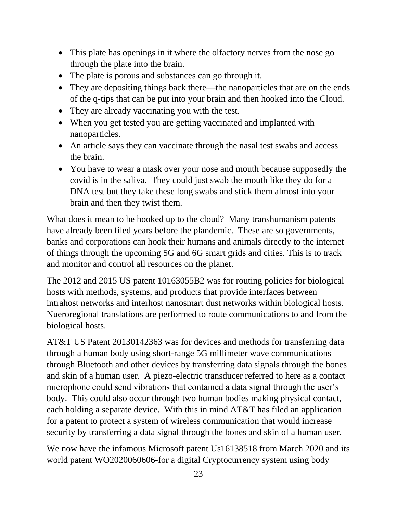- This plate has openings in it where the olfactory nerves from the nose go through the plate into the brain.
- The plate is porous and substances can go through it.
- They are depositing things back there—the nanoparticles that are on the ends of the q-tips that can be put into your brain and then hooked into the Cloud.
- They are already vaccinating you with the test.
- When you get tested you are getting vaccinated and implanted with nanoparticles.
- An article says they can vaccinate through the nasal test swabs and access the brain.
- You have to wear a mask over your nose and mouth because supposedly the covid is in the saliva. They could just swab the mouth like they do for a DNA test but they take these long swabs and stick them almost into your brain and then they twist them.

What does it mean to be hooked up to the cloud? Many transhumanism patents have already been filed years before the plandemic. These are so governments, banks and corporations can hook their humans and animals directly to the internet of things through the upcoming 5G and 6G smart grids and cities. This is to track and monitor and control all resources on the planet.

The 2012 and 2015 US patent 10163055B2 was for routing policies for biological hosts with methods, systems, and products that provide interfaces between intrahost networks and interhost nanosmart dust networks within biological hosts. Nueroregional translations are performed to route communications to and from the biological hosts.

AT&T US Patent 20130142363 was for devices and methods for transferring data through a human body using short-range 5G millimeter wave communications through Bluetooth and other devices by transferring data signals through the bones and skin of a human user. A piezo-electric transducer referred to here as a contact microphone could send vibrations that contained a data signal through the user's body. This could also occur through two human bodies making physical contact, each holding a separate device. With this in mind AT&T has filed an application for a patent to protect a system of wireless communication that would increase security by transferring a data signal through the bones and skin of a human user.

We now have the infamous Microsoft patent Us16138518 from March 2020 and its world patent WO2020060606-for a digital Cryptocurrency system using body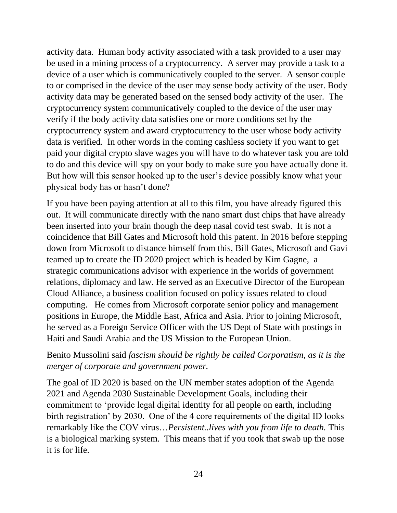activity data. Human body activity associated with a task provided to a user may be used in a mining process of a cryptocurrency. A server may provide a task to a device of a user which is communicatively coupled to the server. A sensor couple to or comprised in the device of the user may sense body activity of the user. Body activity data may be generated based on the sensed body activity of the user. The cryptocurrency system communicatively coupled to the device of the user may verify if the body activity data satisfies one or more conditions set by the cryptocurrency system and award cryptocurrency to the user whose body activity data is verified. In other words in the coming cashless society if you want to get paid your digital crypto slave wages you will have to do whatever task you are told to do and this device will spy on your body to make sure you have actually done it. But how will this sensor hooked up to the user's device possibly know what your physical body has or hasn't done?

If you have been paying attention at all to this film, you have already figured this out. It will communicate directly with the nano smart dust chips that have already been inserted into your brain though the deep nasal covid test swab. It is not a coincidence that Bill Gates and Microsoft hold this patent. In 2016 before stepping down from Microsoft to distance himself from this, Bill Gates, Microsoft and Gavi teamed up to create the ID 2020 project which is headed by Kim Gagne, a strategic communications advisor with experience in the worlds of government relations, diplomacy and law. He served as an Executive Director of the European Cloud Alliance, a business coalition focused on policy issues related to cloud computing. He comes from Microsoft corporate senior policy and management positions in Europe, the Middle East, Africa and Asia. Prior to joining Microsoft, he served as a Foreign Service Officer with the US Dept of State with postings in Haiti and Saudi Arabia and the US Mission to the European Union.

Benito Mussolini said *fascism should be rightly be called Corporatism, as it is the merger of corporate and government power.* 

The goal of ID 2020 is based on the UN member states adoption of the Agenda 2021 and Agenda 2030 Sustainable Development Goals, including their commitment to 'provide legal digital identity for all people on earth, including birth registration' by 2030. One of the 4 core requirements of the digital ID looks remarkably like the COV virus…*Persistent..lives with you from life to death.* This is a biological marking system. This means that if you took that swab up the nose it is for life.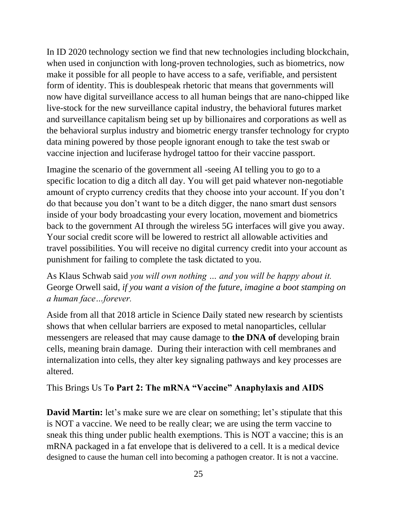In ID 2020 technology section we find that new technologies including blockchain, when used in conjunction with long-proven technologies, such as biometrics, now make it possible for all people to have access to a safe, verifiable, and persistent form of identity. This is doublespeak rhetoric that means that governments will now have digital surveillance access to all human beings that are nano-chipped like live-stock for the new surveillance capital industry, the behavioral futures market and surveillance capitalism being set up by billionaires and corporations as well as the behavioral surplus industry and biometric energy transfer technology for crypto data mining powered by those people ignorant enough to take the test swab or vaccine injection and luciferase hydrogel tattoo for their vaccine passport.

Imagine the scenario of the government all -seeing AI telling you to go to a specific location to dig a ditch all day. You will get paid whatever non-negotiable amount of crypto currency credits that they choose into your account. If you don't do that because you don't want to be a ditch digger, the nano smart dust sensors inside of your body broadcasting your every location, movement and biometrics back to the government AI through the wireless 5G interfaces will give you away. Your social credit score will be lowered to restrict all allowable activities and travel possibilities. You will receive no digital currency credit into your account as punishment for failing to complete the task dictated to you.

As Klaus Schwab said *you will own nothing … and you will be happy about it.* George Orwell said, *if you want a vision of the future, imagine a boot stamping on a human face…forever.*

Aside from all that 2018 article in Science Daily stated new research by scientists shows that when cellular barriers are exposed to metal nanoparticles, cellular messengers are released that may cause damage to **the DNA of** developing brain cells, meaning brain damage. During their interaction with cell membranes and internalization into cells, they alter key signaling pathways and key processes are altered.

This Brings Us T**o Part 2: The mRNA "Vaccine" Anaphylaxis and AIDS**

**David Martin:** let's make sure we are clear on something; let's stipulate that this is NOT a vaccine. We need to be really clear; we are using the term vaccine to sneak this thing under public health exemptions. This is NOT a vaccine; this is an mRNA packaged in a fat envelope that is delivered to a cell. It is a medical device designed to cause the human cell into becoming a pathogen creator. It is not a vaccine.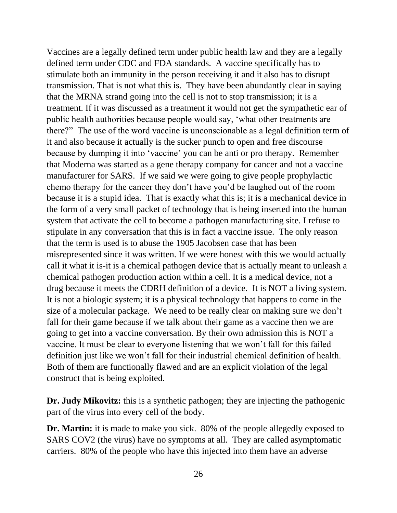Vaccines are a legally defined term under public health law and they are a legally defined term under CDC and FDA standards. A vaccine specifically has to stimulate both an immunity in the person receiving it and it also has to disrupt transmission. That is not what this is. They have been abundantly clear in saying that the MRNA strand going into the cell is not to stop transmission; it is a treatment. If it was discussed as a treatment it would not get the sympathetic ear of public health authorities because people would say, 'what other treatments are there?" The use of the word vaccine is unconscionable as a legal definition term of it and also because it actually is the sucker punch to open and free discourse because by dumping it into 'vaccine' you can be anti or pro therapy. Remember that Moderna was started as a gene therapy company for cancer and not a vaccine manufacturer for SARS. If we said we were going to give people prophylactic chemo therapy for the cancer they don't have you'd be laughed out of the room because it is a stupid idea. That is exactly what this is; it is a mechanical device in the form of a very small packet of technology that is being inserted into the human system that activate the cell to become a pathogen manufacturing site. I refuse to stipulate in any conversation that this is in fact a vaccine issue. The only reason that the term is used is to abuse the 1905 Jacobsen case that has been misrepresented since it was written. If we were honest with this we would actually call it what it is-it is a chemical pathogen device that is actually meant to unleash a chemical pathogen production action within a cell. It is a medical device, not a drug because it meets the CDRH definition of a device. It is NOT a living system. It is not a biologic system; it is a physical technology that happens to come in the size of a molecular package. We need to be really clear on making sure we don't fall for their game because if we talk about their game as a vaccine then we are going to get into a vaccine conversation. By their own admission this is NOT a vaccine. It must be clear to everyone listening that we won't fall for this failed definition just like we won't fall for their industrial chemical definition of health. Both of them are functionally flawed and are an explicit violation of the legal construct that is being exploited.

**Dr. Judy Mikovitz:** this is a synthetic pathogen; they are injecting the pathogenic part of the virus into every cell of the body.

**Dr. Martin:** it is made to make you sick. 80% of the people allegedly exposed to SARS COV2 (the virus) have no symptoms at all. They are called asymptomatic carriers. 80% of the people who have this injected into them have an adverse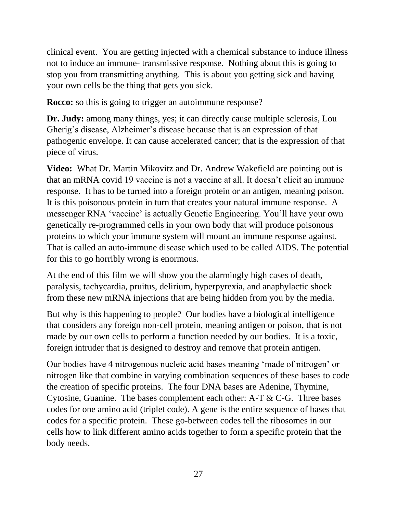clinical event. You are getting injected with a chemical substance to induce illness not to induce an immune- transmissive response. Nothing about this is going to stop you from transmitting anything. This is about you getting sick and having your own cells be the thing that gets you sick.

**Rocco:** so this is going to trigger an autoimmune response?

**Dr. Judy:** among many things, yes; it can directly cause multiple sclerosis, Lou Gherig's disease, Alzheimer's disease because that is an expression of that pathogenic envelope. It can cause accelerated cancer; that is the expression of that piece of virus.

**Video:** What Dr. Martin Mikovitz and Dr. Andrew Wakefield are pointing out is that an mRNA covid 19 vaccine is not a vaccine at all. It doesn't elicit an immune response. It has to be turned into a foreign protein or an antigen, meaning poison. It is this poisonous protein in turn that creates your natural immune response. A messenger RNA 'vaccine' is actually Genetic Engineering. You'll have your own genetically re-programmed cells in your own body that will produce poisonous proteins to which your immune system will mount an immune response against. That is called an auto-immune disease which used to be called AIDS. The potential for this to go horribly wrong is enormous.

At the end of this film we will show you the alarmingly high cases of death, paralysis, tachycardia, pruitus, delirium, hyperpyrexia, and anaphylactic shock from these new mRNA injections that are being hidden from you by the media.

But why is this happening to people? Our bodies have a biological intelligence that considers any foreign non-cell protein, meaning antigen or poison, that is not made by our own cells to perform a function needed by our bodies. It is a toxic, foreign intruder that is designed to destroy and remove that protein antigen.

Our bodies have 4 nitrogenous nucleic acid bases meaning 'made of nitrogen' or nitrogen like that combine in varying combination sequences of these bases to code the creation of specific proteins. The four DNA bases are Adenine, Thymine, Cytosine, Guanine. The bases complement each other: A-T & C-G. Three bases codes for one amino acid (triplet code). A gene is the entire sequence of bases that codes for a specific protein. These go-between codes tell the ribosomes in our cells how to link different amino acids together to form a specific protein that the body needs.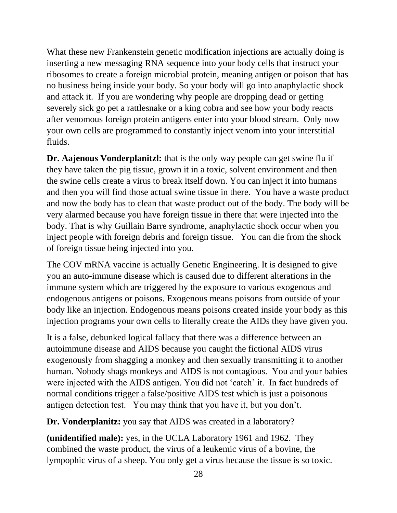What these new Frankenstein genetic modification injections are actually doing is inserting a new messaging RNA sequence into your body cells that instruct your ribosomes to create a foreign microbial protein, meaning antigen or poison that has no business being inside your body. So your body will go into anaphylactic shock and attack it. If you are wondering why people are dropping dead or getting severely sick go pet a rattlesnake or a king cobra and see how your body reacts after venomous foreign protein antigens enter into your blood stream. Only now your own cells are programmed to constantly inject venom into your interstitial fluids.

**Dr. Aajenous Vonderplanitzl:** that is the only way people can get swine flu if they have taken the pig tissue, grown it in a toxic, solvent environment and then the swine cells create a virus to break itself down. You can inject it into humans and then you will find those actual swine tissue in there. You have a waste product and now the body has to clean that waste product out of the body. The body will be very alarmed because you have foreign tissue in there that were injected into the body. That is why Guillain Barre syndrome, anaphylactic shock occur when you inject people with foreign debris and foreign tissue. You can die from the shock of foreign tissue being injected into you.

The COV mRNA vaccine is actually Genetic Engineering. It is designed to give you an auto-immune disease which is caused due to different alterations in the immune system which are triggered by the exposure to various exogenous and endogenous antigens or poisons. Exogenous means poisons from outside of your body like an injection. Endogenous means poisons created inside your body as this injection programs your own cells to literally create the AIDs they have given you.

It is a false, debunked logical fallacy that there was a difference between an autoimmune disease and AIDS because you caught the fictional AIDS virus exogenously from shagging a monkey and then sexually transmitting it to another human. Nobody shags monkeys and AIDS is not contagious. You and your babies were injected with the AIDS antigen. You did not 'catch' it. In fact hundreds of normal conditions trigger a false/positive AIDS test which is just a poisonous antigen detection test. You may think that you have it, but you don't.

**Dr. Vonderplanitz:** you say that AIDS was created in a laboratory?

**(unidentified male):** yes, in the UCLA Laboratory 1961 and 1962. They combined the waste product, the virus of a leukemic virus of a bovine, the lympophic virus of a sheep. You only get a virus because the tissue is so toxic.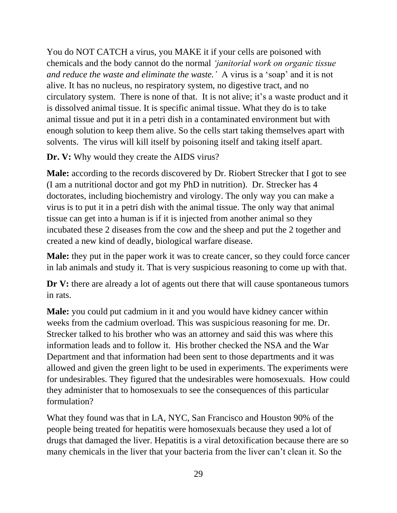You do NOT CATCH a virus, you MAKE it if your cells are poisoned with chemicals and the body cannot do the normal *'janitorial work on organic tissue and reduce the waste and eliminate the waste.'* A virus is a 'soap' and it is not alive. It has no nucleus, no respiratory system, no digestive tract, and no circulatory system. There is none of that. It is not alive; it's a waste product and it is dissolved animal tissue. It is specific animal tissue. What they do is to take animal tissue and put it in a petri dish in a contaminated environment but with enough solution to keep them alive. So the cells start taking themselves apart with solvents. The virus will kill itself by poisoning itself and taking itself apart.

**Dr. V:** Why would they create the AIDS virus?

**Male:** according to the records discovered by Dr. Riobert Strecker that I got to see (I am a nutritional doctor and got my PhD in nutrition). Dr. Strecker has 4 doctorates, including biochemistry and virology. The only way you can make a virus is to put it in a petri dish with the animal tissue. The only way that animal tissue can get into a human is if it is injected from another animal so they incubated these 2 diseases from the cow and the sheep and put the 2 together and created a new kind of deadly, biological warfare disease.

**Male:** they put in the paper work it was to create cancer, so they could force cancer in lab animals and study it. That is very suspicious reasoning to come up with that.

**Dr V:** there are already a lot of agents out there that will cause spontaneous tumors in rats.

**Male:** you could put cadmium in it and you would have kidney cancer within weeks from the cadmium overload. This was suspicious reasoning for me. Dr. Strecker talked to his brother who was an attorney and said this was where this information leads and to follow it. His brother checked the NSA and the War Department and that information had been sent to those departments and it was allowed and given the green light to be used in experiments. The experiments were for undesirables. They figured that the undesirables were homosexuals. How could they administer that to homosexuals to see the consequences of this particular formulation?

What they found was that in LA, NYC, San Francisco and Houston 90% of the people being treated for hepatitis were homosexuals because they used a lot of drugs that damaged the liver. Hepatitis is a viral detoxification because there are so many chemicals in the liver that your bacteria from the liver can't clean it. So the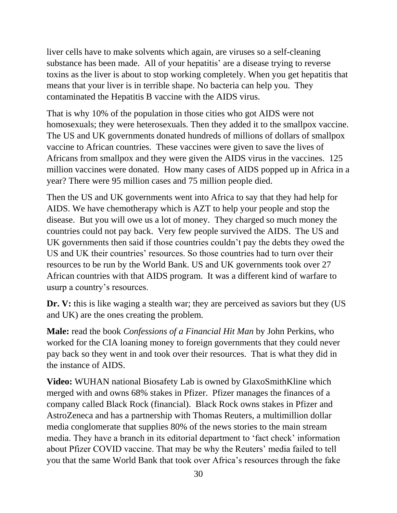liver cells have to make solvents which again, are viruses so a self-cleaning substance has been made. All of your hepatitis' are a disease trying to reverse toxins as the liver is about to stop working completely. When you get hepatitis that means that your liver is in terrible shape. No bacteria can help you. They contaminated the Hepatitis B vaccine with the AIDS virus.

That is why 10% of the population in those cities who got AIDS were not homosexuals; they were heterosexuals. Then they added it to the smallpox vaccine. The US and UK governments donated hundreds of millions of dollars of smallpox vaccine to African countries. These vaccines were given to save the lives of Africans from smallpox and they were given the AIDS virus in the vaccines. 125 million vaccines were donated. How many cases of AIDS popped up in Africa in a year? There were 95 million cases and 75 million people died.

Then the US and UK governments went into Africa to say that they had help for AIDS. We have chemotherapy which is AZT to help your people and stop the disease. But you will owe us a lot of money. They charged so much money the countries could not pay back. Very few people survived the AIDS. The US and UK governments then said if those countries couldn't pay the debts they owed the US and UK their countries' resources. So those countries had to turn over their resources to be run by the World Bank. US and UK governments took over 27 African countries with that AIDS program. It was a different kind of warfare to usurp a country's resources.

**Dr. V:** this is like waging a stealth war; they are perceived as saviors but they (US and UK) are the ones creating the problem.

**Male:** read the book *Confessions of a Financial Hit Man* by John Perkins, who worked for the CIA loaning money to foreign governments that they could never pay back so they went in and took over their resources. That is what they did in the instance of AIDS.

**Video:** WUHAN national Biosafety Lab is owned by GlaxoSmithKline which merged with and owns 68% stakes in Pfizer. Pfizer manages the finances of a company called Black Rock (financial). Black Rock owns stakes in Pfizer and AstroZeneca and has a partnership with Thomas Reuters, a multimillion dollar media conglomerate that supplies 80% of the news stories to the main stream media. They have a branch in its editorial department to 'fact check' information about Pfizer COVID vaccine. That may be why the Reuters' media failed to tell you that the same World Bank that took over Africa's resources through the fake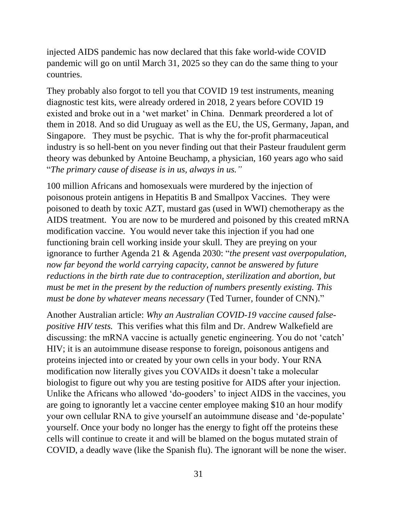injected AIDS pandemic has now declared that this fake world-wide COVID pandemic will go on until March 31, 2025 so they can do the same thing to your countries.

They probably also forgot to tell you that COVID 19 test instruments, meaning diagnostic test kits, were already ordered in 2018, 2 years before COVID 19 existed and broke out in a 'wet market' in China. Denmark preordered a lot of them in 2018. And so did Uruguay as well as the EU, the US, Germany, Japan, and Singapore. They must be psychic. That is why the for-profit pharmaceutical industry is so hell-bent on you never finding out that their Pasteur fraudulent germ theory was debunked by Antoine Beuchamp, a physician, 160 years ago who said "*The primary cause of disease is in us, always in us."*

100 million Africans and homosexuals were murdered by the injection of poisonous protein antigens in Hepatitis B and Smallpox Vaccines. They were poisoned to death by toxic AZT, mustard gas (used in WWI) chemotherapy as the AIDS treatment. You are now to be murdered and poisoned by this created mRNA modification vaccine. You would never take this injection if you had one functioning brain cell working inside your skull. They are preying on your ignorance to further Agenda 21 & Agenda 2030: "*the present vast overpopulation, now far beyond the world carrying capacity, cannot be answered by future reductions in the birth rate due to contraception, sterilization and abortion, but must be met in the present by the reduction of numbers presently existing. This must be done by whatever means necessary* (Ted Turner, founder of CNN)."

Another Australian article: *Why an Australian COVID-19 vaccine caused falsepositive HIV tests.* This verifies what this film and Dr. Andrew Walkefield are discussing: the mRNA vaccine is actually genetic engineering. You do not 'catch' HIV; it is an autoimmune disease response to foreign, poisonous antigens and proteins injected into or created by your own cells in your body. Your RNA modification now literally gives you COVAIDs it doesn't take a molecular biologist to figure out why you are testing positive for AIDS after your injection. Unlike the Africans who allowed 'do-gooders' to inject AIDS in the vaccines, you are going to ignorantly let a vaccine center employee making \$10 an hour modify your own cellular RNA to give yourself an autoimmune disease and 'de-populate' yourself. Once your body no longer has the energy to fight off the proteins these cells will continue to create it and will be blamed on the bogus mutated strain of COVID, a deadly wave (like the Spanish flu). The ignorant will be none the wiser.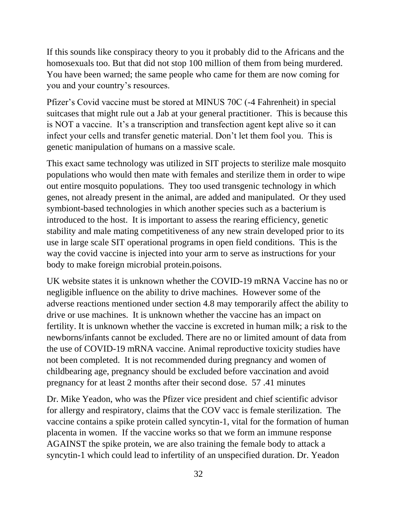If this sounds like conspiracy theory to you it probably did to the Africans and the homosexuals too. But that did not stop 100 million of them from being murdered. You have been warned; the same people who came for them are now coming for you and your country's resources.

Pfizer's Covid vaccine must be stored at MINUS 70C (-4 Fahrenheit) in special suitcases that might rule out a Jab at your general practitioner. This is because this is NOT a vaccine. It's a transcription and transfection agent kept alive so it can infect your cells and transfer genetic material. Don't let them fool you. This is genetic manipulation of humans on a massive scale.

This exact same technology was utilized in SIT projects to sterilize male mosquito populations who would then mate with females and sterilize them in order to wipe out entire mosquito populations. They too used transgenic technology in which genes, not already present in the animal, are added and manipulated. Or they used symbiont-based technologies in which another species such as a bacterium is introduced to the host. It is important to assess the rearing efficiency, genetic stability and male mating competitiveness of any new strain developed prior to its use in large scale SIT operational programs in open field conditions. This is the way the covid vaccine is injected into your arm to serve as instructions for your body to make foreign microbial protein.poisons.

UK website states it is unknown whether the COVID-19 mRNA Vaccine has no or negligible influence on the ability to drive machines. However some of the adverse reactions mentioned under section 4.8 may temporarily affect the ability to drive or use machines. It is unknown whether the vaccine has an impact on fertility. It is unknown whether the vaccine is excreted in human milk; a risk to the newborns/infants cannot be excluded. There are no or limited amount of data from the use of COVID-19 mRNA vaccine. Animal reproductive toxicity studies have not been completed. It is not recommended during pregnancy and women of childbearing age, pregnancy should be excluded before vaccination and avoid pregnancy for at least 2 months after their second dose. 57 .41 minutes

Dr. Mike Yeadon, who was the Pfizer vice president and chief scientific advisor for allergy and respiratory, claims that the COV vacc is female sterilization. The vaccine contains a spike protein called syncytin-1, vital for the formation of human placenta in women. If the vaccine works so that we form an immune response AGAINST the spike protein, we are also training the female body to attack a syncytin-1 which could lead to infertility of an unspecified duration. Dr. Yeadon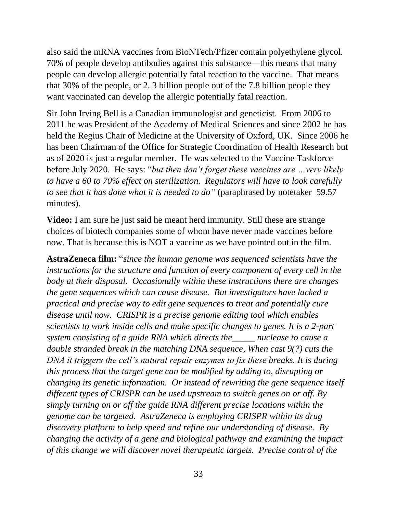also said the mRNA vaccines from BioNTech/Pfizer contain polyethylene glycol. 70% of people develop antibodies against this substance—this means that many people can develop allergic potentially fatal reaction to the vaccine. That means that 30% of the people, or 2. 3 billion people out of the 7.8 billion people they want vaccinated can develop the allergic potentially fatal reaction.

Sir John Irving Bell is a Canadian immunologist and geneticist. From 2006 to 2011 he was President of the Academy of Medical Sciences and since 2002 he has held the Regius Chair of Medicine at the University of Oxford, UK. Since 2006 he has been Chairman of the Office for Strategic Coordination of Health Research but as of 2020 is just a regular member. He was selected to the Vaccine Taskforce before July 2020. He says: "*but then don't forget these vaccines are …very likely to have a 60 to 70% effect on sterilization. Regulators will have to look carefully to see that it has done what it is needed to do"* (paraphrased by notetaker 59.57 minutes).

**Video:** I am sure he just said he meant herd immunity. Still these are strange choices of biotech companies some of whom have never made vaccines before now. That is because this is NOT a vaccine as we have pointed out in the film.

**AstraZeneca film:** "*since the human genome was sequenced scientists have the instructions for the structure and function of every component of every cell in the body at their disposal. Occasionally within these instructions there are changes the gene sequences which can cause disease. But investigators have lacked a practical and precise way to edit gene sequences to treat and potentially cure disease until now. CRISPR is a precise genome editing tool which enables scientists to work inside cells and make specific changes to genes. It is a 2-part system consisting of a guide RNA which directs the\_\_\_\_\_ nuclease to cause a double stranded break in the matching DNA sequence, When cast 9(?) cuts the DNA it triggers the cell's natural repair enzymes to fix these breaks. It is during this process that the target gene can be modified by adding to, disrupting or changing its genetic information. Or instead of rewriting the gene sequence itself different types of CRISPR can be used upstream to switch genes on or off. By simply turning on or off the guide RNA different precise locations within the genome can be targeted. AstraZeneca is employing CRISPR within its drug discovery platform to help speed and refine our understanding of disease. By changing the activity of a gene and biological pathway and examining the impact of this change we will discover novel therapeutic targets. Precise control of the*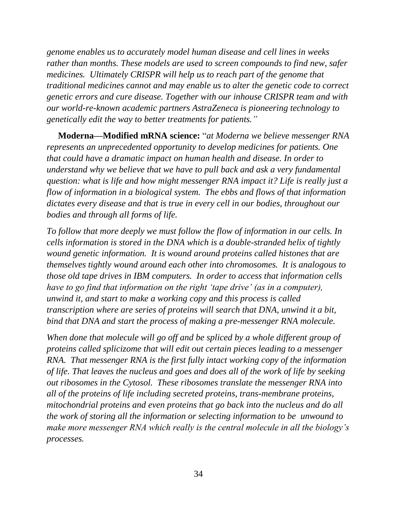*genome enables us to accurately model human disease and cell lines in weeks rather than months. These models are used to screen compounds to find new, safer medicines. Ultimately CRISPR will help us to reach part of the genome that traditional medicines cannot and may enable us to alter the genetic code to correct genetic errors and cure disease. Together with our inhouse CRISPR team and with our world-re-known academic partners AstraZeneca is pioneering technology to genetically edit the way to better treatments for patients."*

**Moderna—Modified mRNA science:** "*at Moderna we believe messenger RNA represents an unprecedented opportunity to develop medicines for patients. One that could have a dramatic impact on human health and disease. In order to understand why we believe that we have to pull back and ask a very fundamental question: what is life and how might messenger RNA impact it? Life is really just a flow of information in a biological system. The ebbs and flows of that information dictates every disease and that is true in every cell in our bodies, throughout our bodies and through all forms of life.* 

*To follow that more deeply we must follow the flow of information in our cells. In cells information is stored in the DNA which is a double-stranded helix of tightly wound genetic information. It is wound around proteins called histones that are themselves tightly wound around each other into chromosomes. It is analogous to those old tape drives in IBM computers. In order to access that information cells have to go find that information on the right 'tape drive' (as in a computer), unwind it, and start to make a working copy and this process is called transcription where are series of proteins will search that DNA, unwind it a bit, bind that DNA and start the process of making a pre-messenger RNA molecule.* 

*When done that molecule will go off and be spliced by a whole different group of proteins called splicizome that will edit out certain pieces leading to a messenger RNA. That messenger RNA is the first fully intact working copy of the information of life. That leaves the nucleus and goes and does all of the work of life by seeking out ribosomes in the Cytosol. These ribosomes translate the messenger RNA into all of the proteins of life including secreted proteins, trans-membrane proteins, mitochondrial proteins and even proteins that go back into the nucleus and do all the work of storing all the information or selecting information to be unwound to make more messenger RNA which really is the central molecule in all the biology's processes.*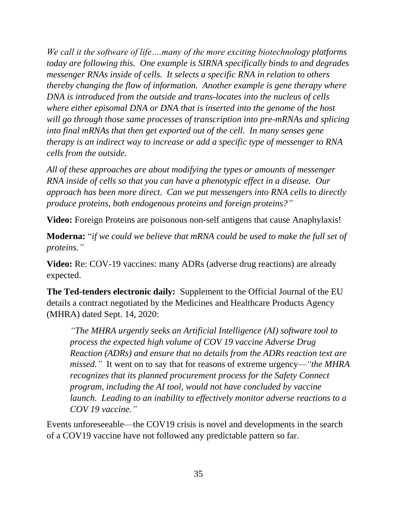*We call it the software of life….many of the more exciting biotechnology platforms today are following this. One example is SIRNA specifically binds to and degrades messenger RNAs inside of cells. It selects a specific RNA in relation to others thereby changing the flow of information. Another example is gene therapy where DNA is introduced from the outside and trans-locates into the nucleus of cells where either episomal DNA or DNA that is inserted into the genome of the host will go through those same processes of transcription into pre-mRNAs and splicing into final mRNAs that then get exported out of the cell. In many senses gene therapy is an indirect way to increase or add a specific type of messenger to RNA cells from the outside.* 

*All of these approaches are about modifying the types or amounts of messenger RNA inside of cells so that you can have a phenotypic effect in a disease. Our approach has been more direct. Can we put messengers into RNA cells to directly produce proteins, both endogenous proteins and foreign proteins?"* 

**Video:** Foreign Proteins are poisonous non-self antigens that cause Anaphylaxis!

**Moderna:** "*if we could we believe that mRNA could be used to make the full set of proteins."*

**Video:** Re: COV-19 vaccines: many ADRs (adverse drug reactions) are already expected.

**The Ted-tenders electronic daily:** Supplement to the Official Journal of the EU details a contract negotiated by the Medicines and Healthcare Products Agency (MHRA) dated Sept. 14, 2020:

*"The MHRA urgently seeks an Artificial Intelligence (AI) software tool to process the expected high volume of COV 19 vaccine Adverse Drug Reaction (ADRs) and ensure that no details from the ADRs reaction text are missed."* It went on to say that for reasons of extreme urgency*—"the MHRA recognizes that its planned procurement process for the Safety Connect program, including the AI tool, would not have concluded by vaccine launch. Leading to an inability to effectively monitor adverse reactions to a COV 19 vaccine."*

Events unforeseeable—the COV19 crisis is novel and developments in the search of a COV19 vaccine have not followed any predictable pattern so far.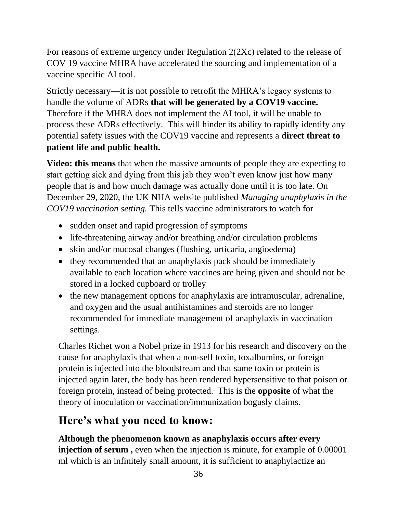For reasons of extreme urgency under Regulation 2(2Xc) related to the release of COV 19 vaccine MHRA have accelerated the sourcing and implementation of a vaccine specific AI tool.

Strictly necessary—it is not possible to retrofit the MHRA's legacy systems to handle the volume of ADRs **that will be generated by a COV19 vaccine.**  Therefore if the MHRA does not implement the AI tool, it will be unable to process these ADRs effectively. This will hinder its ability to rapidly identify any potential safety issues with the COV19 vaccine and represents a **direct threat to patient life and public health.** 

**Video: this means** that when the massive amounts of people they are expecting to start getting sick and dying from this jab they won't even know just how many people that is and how much damage was actually done until it is too late. On December 29, 2020, the UK NHA website published *Managing anaphylaxis in the COV19 vaccination setting.* This tells vaccine administrators to watch for

- sudden onset and rapid progression of symptoms
- life-threatening airway and/or breathing and/or circulation problems
- skin and/or mucosal changes (flushing, urticaria, angioedema)
- they recommended that an anaphylaxis pack should be immediately available to each location where vaccines are being given and should not be stored in a locked cupboard or trolley
- the new management options for anaphylaxis are intramuscular, adrenaline, and oxygen and the usual antihistamines and steroids are no longer recommended for immediate management of anaphylaxis in vaccination settings.

Charles Richet won a Nobel prize in 1913 for his research and discovery on the cause for anaphylaxis that when a non-self toxin, toxalbumins, or foreign protein is injected into the bloodstream and that same toxin or protein is injected again later, the body has been rendered hypersensitive to that poison or foreign protein, instead of being protected. This is the **opposite** of what the theory of inoculation or vaccination/immunization bogusly claims.

# **Here's what you need to know:**

**Although the phenomenon known as anaphylaxis occurs after every injection of serum,** even when the injection is minute, for example of 0.00001 ml which is an infinitely small amount, it is sufficient to anaphylactize an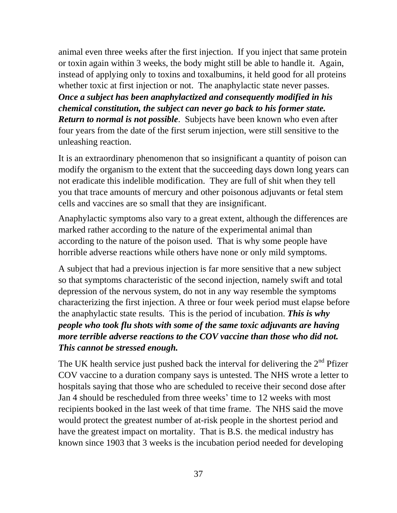animal even three weeks after the first injection. If you inject that same protein or toxin again within 3 weeks, the body might still be able to handle it. Again, instead of applying only to toxins and toxalbumins, it held good for all proteins whether toxic at first injection or not. The anaphylactic state never passes. *Once a subject has been anaphylactized and consequently modified in his chemical constitution, the subject can never go back to his former state. Return to normal is not possible*. Subjects have been known who even after four years from the date of the first serum injection, were still sensitive to the unleashing reaction.

It is an extraordinary phenomenon that so insignificant a quantity of poison can modify the organism to the extent that the succeeding days down long years can not eradicate this indelible modification. They are full of shit when they tell you that trace amounts of mercury and other poisonous adjuvants or fetal stem cells and vaccines are so small that they are insignificant.

Anaphylactic symptoms also vary to a great extent, although the differences are marked rather according to the nature of the experimental animal than according to the nature of the poison used. That is why some people have horrible adverse reactions while others have none or only mild symptoms.

A subject that had a previous injection is far more sensitive that a new subject so that symptoms characteristic of the second injection, namely swift and total depression of the nervous system, do not in any way resemble the symptoms characterizing the first injection. A three or four week period must elapse before the anaphylactic state results. This is the period of incubation. *This is why people who took flu shots with some of the same toxic adjuvants are having more terrible adverse reactions to the COV vaccine than those who did not. This cannot be stressed enough.* 

The UK health service just pushed back the interval for delivering the  $2<sup>nd</sup>$  Pfizer COV vaccine to a duration company says is untested. The NHS wrote a letter to hospitals saying that those who are scheduled to receive their second dose after Jan 4 should be rescheduled from three weeks' time to 12 weeks with most recipients booked in the last week of that time frame. The NHS said the move would protect the greatest number of at-risk people in the shortest period and have the greatest impact on mortality. That is B.S. the medical industry has known since 1903 that 3 weeks is the incubation period needed for developing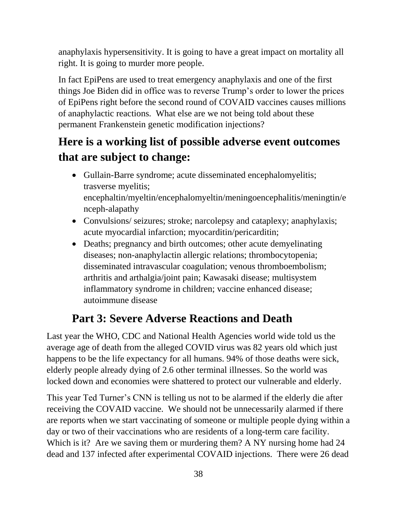anaphylaxis hypersensitivity. It is going to have a great impact on mortality all right. It is going to murder more people.

In fact EpiPens are used to treat emergency anaphylaxis and one of the first things Joe Biden did in office was to reverse Trump's order to lower the prices of EpiPens right before the second round of COVAID vaccines causes millions of anaphylactic reactions. What else are we not being told about these permanent Frankenstein genetic modification injections?

# **Here is a working list of possible adverse event outcomes that are subject to change:**

- Gullain-Barre syndrome; acute disseminated encephalomyelitis; trasverse myelitis; encephaltin/myeltin/encephalomyeltin/meningoencephalitis/meningtin/e nceph-alapathy
- Convulsions/ seizures; stroke; narcolepsy and cataplexy; anaphylaxis; acute myocardial infarction; myocarditin/pericarditin;
- Deaths; pregnancy and birth outcomes; other acute demyelinating diseases; non-anaphylactin allergic relations; thrombocytopenia; disseminated intravascular coagulation; venous thromboembolism; arthritis and arthalgia/joint pain; Kawasaki disease; multisystem inflammatory syndrome in children; vaccine enhanced disease; autoimmune disease

## **Part 3: Severe Adverse Reactions and Death**

Last year the WHO, CDC and National Health Agencies world wide told us the average age of death from the alleged COVID virus was 82 years old which just happens to be the life expectancy for all humans. 94% of those deaths were sick, elderly people already dying of 2.6 other terminal illnesses. So the world was locked down and economies were shattered to protect our vulnerable and elderly.

This year Ted Turner's CNN is telling us not to be alarmed if the elderly die after receiving the COVAID vaccine. We should not be unnecessarily alarmed if there are reports when we start vaccinating of someone or multiple people dying within a day or two of their vaccinations who are residents of a long-term care facility. Which is it? Are we saving them or murdering them? A NY nursing home had 24 dead and 137 infected after experimental COVAID injections. There were 26 dead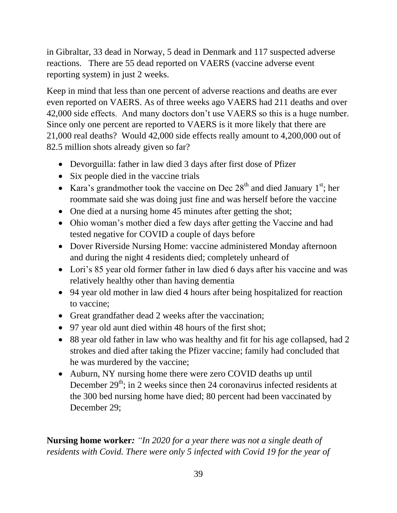in Gibraltar, 33 dead in Norway, 5 dead in Denmark and 117 suspected adverse reactions. There are 55 dead reported on VAERS (vaccine adverse event reporting system) in just 2 weeks.

Keep in mind that less than one percent of adverse reactions and deaths are ever even reported on VAERS. As of three weeks ago VAERS had 211 deaths and over 42,000 side effects. And many doctors don't use VAERS so this is a huge number. Since only one percent are reported to VAERS is it more likely that there are 21,000 real deaths? Would 42,000 side effects really amount to 4,200,000 out of 82.5 million shots already given so far?

- Devorguilla: father in law died 3 days after first dose of Pfizer
- Six people died in the vaccine trials
- Kara's grandmother took the vaccine on Dec  $28<sup>th</sup>$  and died January 1<sup>st</sup>; her roommate said she was doing just fine and was herself before the vaccine
- One died at a nursing home 45 minutes after getting the shot;
- Ohio woman's mother died a few days after getting the Vaccine and had tested negative for COVID a couple of days before
- Dover Riverside Nursing Home: vaccine administered Monday afternoon and during the night 4 residents died; completely unheard of
- Lori's 85 year old former father in law died 6 days after his vaccine and was relatively healthy other than having dementia
- 94 year old mother in law died 4 hours after being hospitalized for reaction to vaccine;
- Great grandfather dead 2 weeks after the vaccination;
- 97 year old aunt died within 48 hours of the first shot;
- 88 year old father in law who was healthy and fit for his age collapsed, had 2 strokes and died after taking the Pfizer vaccine; family had concluded that he was murdered by the vaccine;
- Auburn, NY nursing home there were zero COVID deaths up until December  $29<sup>th</sup>$ ; in 2 weeks since then 24 coronavirus infected residents at the 300 bed nursing home have died; 80 percent had been vaccinated by December 29;

**Nursing home worker***: "In 2020 for a year there was not a single death of residents with Covid. There were only 5 infected with Covid 19 for the year of*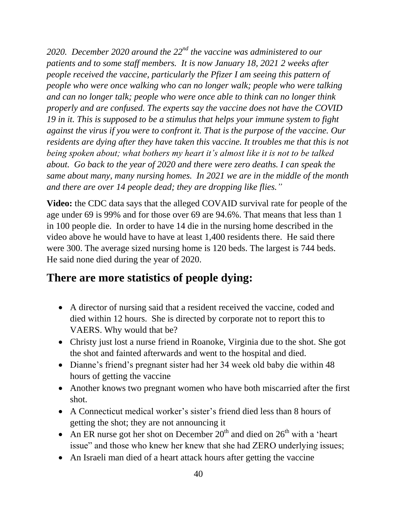*2020. December 2020 around the 22nd the vaccine was administered to our patients and to some staff members. It is now January 18, 2021 2 weeks after people received the vaccine, particularly the Pfizer I am seeing this pattern of people who were once walking who can no longer walk; people who were talking and can no longer talk; people who were once able to think can no longer think properly and are confused. The experts say the vaccine does not have the COVID 19 in it. This is supposed to be a stimulus that helps your immune system to fight against the virus if you were to confront it. That is the purpose of the vaccine. Our residents are dying after they have taken this vaccine. It troubles me that this is not being spoken about; what bothers my heart it's almost like it is not to be talked about. Go back to the year of 2020 and there were zero deaths. I can speak the same about many, many nursing homes. In 2021 we are in the middle of the month and there are over 14 people dead; they are dropping like flies."*

**Video:** the CDC data says that the alleged COVAID survival rate for people of the age under 69 is 99% and for those over 69 are 94.6%. That means that less than 1 in 100 people die. In order to have 14 die in the nursing home described in the video above he would have to have at least 1,400 residents there. He said there were 300. The average sized nursing home is 120 beds. The largest is 744 beds. He said none died during the year of 2020.

### **There are more statistics of people dying:**

- A director of nursing said that a resident received the vaccine, coded and died within 12 hours. She is directed by corporate not to report this to VAERS. Why would that be?
- Christy just lost a nurse friend in Roanoke, Virginia due to the shot. She got the shot and fainted afterwards and went to the hospital and died.
- Dianne's friend's pregnant sister had her 34 week old baby die within 48 hours of getting the vaccine
- Another knows two pregnant women who have both miscarried after the first shot.
- A Connecticut medical worker's sister's friend died less than 8 hours of getting the shot; they are not announcing it
- An ER nurse got her shot on December  $20<sup>th</sup>$  and died on  $26<sup>th</sup>$  with a 'heart issue" and those who knew her knew that she had ZERO underlying issues;
- An Israeli man died of a heart attack hours after getting the vaccine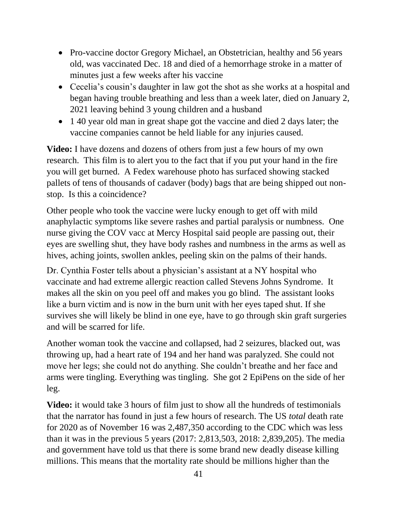- Pro-vaccine doctor Gregory Michael, an Obstetrician, healthy and 56 years old, was vaccinated Dec. 18 and died of a hemorrhage stroke in a matter of minutes just a few weeks after his vaccine
- Cecelia's cousin's daughter in law got the shot as she works at a hospital and began having trouble breathing and less than a week later, died on January 2, 2021 leaving behind 3 young children and a husband
- 1 40 year old man in great shape got the vaccine and died 2 days later; the vaccine companies cannot be held liable for any injuries caused.

**Video:** I have dozens and dozens of others from just a few hours of my own research. This film is to alert you to the fact that if you put your hand in the fire you will get burned. A Fedex warehouse photo has surfaced showing stacked pallets of tens of thousands of cadaver (body) bags that are being shipped out nonstop. Is this a coincidence?

Other people who took the vaccine were lucky enough to get off with mild anaphylactic symptoms like severe rashes and partial paralysis or numbness. One nurse giving the COV vacc at Mercy Hospital said people are passing out, their eyes are swelling shut, they have body rashes and numbness in the arms as well as hives, aching joints, swollen ankles, peeling skin on the palms of their hands.

Dr. Cynthia Foster tells about a physician's assistant at a NY hospital who vaccinate and had extreme allergic reaction called Stevens Johns Syndrome. It makes all the skin on you peel off and makes you go blind. The assistant looks like a burn victim and is now in the burn unit with her eyes taped shut. If she survives she will likely be blind in one eye, have to go through skin graft surgeries and will be scarred for life.

Another woman took the vaccine and collapsed, had 2 seizures, blacked out, was throwing up, had a heart rate of 194 and her hand was paralyzed. She could not move her legs; she could not do anything. She couldn't breathe and her face and arms were tingling. Everything was tingling. She got 2 EpiPens on the side of her leg.

**Video:** it would take 3 hours of film just to show all the hundreds of testimonials that the narrator has found in just a few hours of research. The US *total* death rate for 2020 as of November 16 was 2,487,350 according to the CDC which was less than it was in the previous 5 years (2017: 2,813,503, 2018: 2,839,205). The media and government have told us that there is some brand new deadly disease killing millions. This means that the mortality rate should be millions higher than the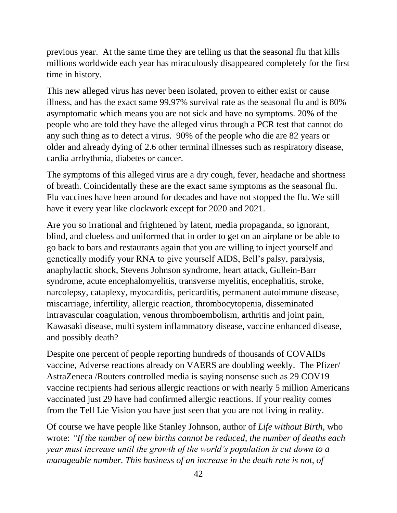previous year. At the same time they are telling us that the seasonal flu that kills millions worldwide each year has miraculously disappeared completely for the first time in history.

This new alleged virus has never been isolated, proven to either exist or cause illness, and has the exact same 99.97% survival rate as the seasonal flu and is 80% asymptomatic which means you are not sick and have no symptoms. 20% of the people who are told they have the alleged virus through a PCR test that cannot do any such thing as to detect a virus. 90% of the people who die are 82 years or older and already dying of 2.6 other terminal illnesses such as respiratory disease, cardia arrhythmia, diabetes or cancer.

The symptoms of this alleged virus are a dry cough, fever, headache and shortness of breath. Coincidentally these are the exact same symptoms as the seasonal flu. Flu vaccines have been around for decades and have not stopped the flu. We still have it every year like clockwork except for 2020 and 2021.

Are you so irrational and frightened by latent, media propaganda, so ignorant, blind, and clueless and uniformed that in order to get on an airplane or be able to go back to bars and restaurants again that you are willing to inject yourself and genetically modify your RNA to give yourself AIDS, Bell's palsy, paralysis, anaphylactic shock, Stevens Johnson syndrome, heart attack, Gullein-Barr syndrome, acute encephalomyelitis, transverse myelitis, encephalitis, stroke, narcolepsy, cataplexy, myocarditis, pericarditis, permanent autoimmune disease, miscarriage, infertility, allergic reaction, thrombocytopenia, disseminated intravascular coagulation, venous thromboembolism, arthritis and joint pain, Kawasaki disease, multi system inflammatory disease, vaccine enhanced disease, and possibly death?

Despite one percent of people reporting hundreds of thousands of COVAIDs vaccine, Adverse reactions already on VAERS are doubling weekly. The Pfizer/ AstraZeneca /Routers controlled media is saying nonsense such as 29 COV19 vaccine recipients had serious allergic reactions or with nearly 5 million Americans vaccinated just 29 have had confirmed allergic reactions. If your reality comes from the Tell Lie Vision you have just seen that you are not living in reality.

Of course we have people like Stanley Johnson, author of *Life without Birth,* who wrote: *"If the number of new births cannot be reduced, the number of deaths each year must increase until the growth of the world's population is cut down to a manageable number. This business of an increase in the death rate is not, of*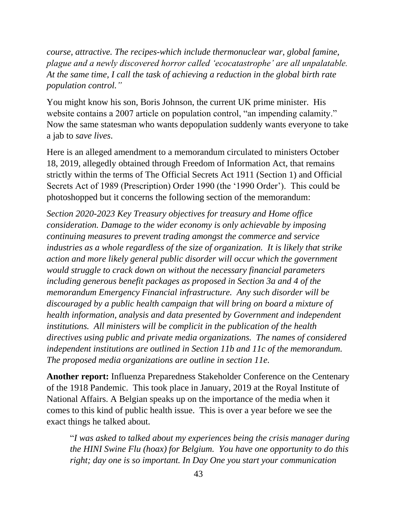*course, attractive. The recipes-which include thermonuclear war, global famine, plague and a newly discovered horror called 'ecocatastrophe' are all unpalatable. At the same time, I call the task of achieving a reduction in the global birth rate population control."*

You might know his son, Boris Johnson, the current UK prime minister. His website contains a 2007 article on population control, "an impending calamity." Now the same statesman who wants depopulation suddenly wants everyone to take a jab to *save lives*.

Here is an alleged amendment to a memorandum circulated to ministers October 18, 2019, allegedly obtained through Freedom of Information Act, that remains strictly within the terms of The Official Secrets Act 1911 (Section 1) and Official Secrets Act of 1989 (Prescription) Order 1990 (the '1990 Order'). This could be photoshopped but it concerns the following section of the memorandum:

*Section 2020-2023 Key Treasury objectives for treasury and Home office consideration. Damage to the wider economy is only achievable by imposing continuing measures to prevent trading amongst the commerce and service industries as a whole regardless of the size of organization. It is likely that strike action and more likely general public disorder will occur which the government would struggle to crack down on without the necessary financial parameters including generous benefit packages as proposed in Section 3a and 4 of the memorandum Emergency Financial infrastructure. Any such disorder will be discouraged by a public health campaign that will bring on board a mixture of health information, analysis and data presented by Government and independent institutions. All ministers will be complicit in the publication of the health directives using public and private media organizations. The names of considered independent institutions are outlined in Section 11b and 11c of the memorandum. The proposed media organizations are outline in section 11e.* 

**Another report:** Influenza Preparedness Stakeholder Conference on the Centenary of the 1918 Pandemic. This took place in January, 2019 at the Royal Institute of National Affairs. A Belgian speaks up on the importance of the media when it comes to this kind of public health issue. This is over a year before we see the exact things he talked about.

"*I was asked to talked about my experiences being the crisis manager during the HINI Swine Flu (hoax) for Belgium. You have one opportunity to do this right; day one is so important. In Day One you start your communication*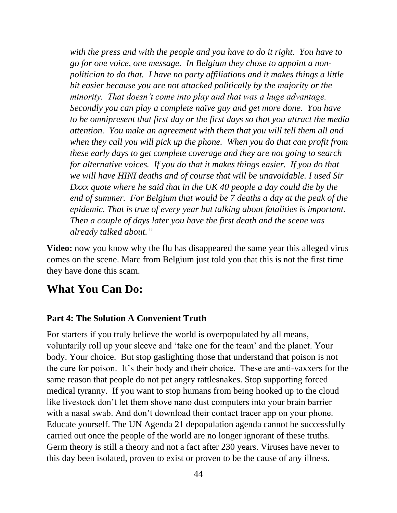*with the press and with the people and you have to do it right. You have to go for one voice, one message. In Belgium they chose to appoint a nonpolitician to do that. I have no party affiliations and it makes things a little bit easier because you are not attacked politically by the majority or the minority. That doesn't come into play and that was a huge advantage. Secondly you can play a complete naïve guy and get more done. You have to be omnipresent that first day or the first days so that you attract the media attention. You make an agreement with them that you will tell them all and when they call you will pick up the phone. When you do that can profit from these early days to get complete coverage and they are not going to search for alternative voices. If you do that it makes things easier. If you do that we will have HINI deaths and of course that will be unavoidable. I used Sir Dxxx quote where he said that in the UK 40 people a day could die by the end of summer. For Belgium that would be 7 deaths a day at the peak of the epidemic. That is true of every year but talking about fatalities is important. Then a couple of days later you have the first death and the scene was already talked about."*

**Video:** now you know why the flu has disappeared the same year this alleged virus comes on the scene. Marc from Belgium just told you that this is not the first time they have done this scam.

### **What You Can Do:**

#### **Part 4: The Solution A Convenient Truth**

For starters if you truly believe the world is overpopulated by all means, voluntarily roll up your sleeve and 'take one for the team' and the planet. Your body. Your choice. But stop gaslighting those that understand that poison is not the cure for poison. It's their body and their choice. These are anti-vaxxers for the same reason that people do not pet angry rattlesnakes. Stop supporting forced medical tyranny. If you want to stop humans from being hooked up to the cloud like livestock don't let them shove nano dust computers into your brain barrier with a nasal swab. And don't download their contact tracer app on your phone. Educate yourself. The UN Agenda 21 depopulation agenda cannot be successfully carried out once the people of the world are no longer ignorant of these truths. Germ theory is still a theory and not a fact after 230 years. Viruses have never to this day been isolated, proven to exist or proven to be the cause of any illness.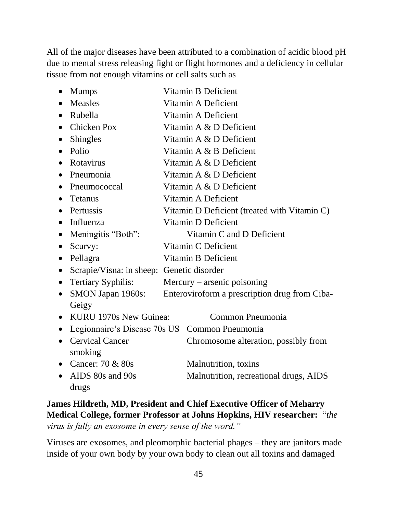All of the major diseases have been attributed to a combination of acidic blood pH due to mental stress releasing fight or flight hormones and a deficiency in cellular tissue from not enough vitamins or cell salts such as

|           | <b>Mumps</b>                                  | Vitamin B Deficient                           |                                        |
|-----------|-----------------------------------------------|-----------------------------------------------|----------------------------------------|
|           | <b>Measles</b>                                | Vitamin A Deficient                           |                                        |
|           | Rubella                                       | Vitamin A Deficient                           |                                        |
| $\bullet$ | <b>Chicken Pox</b>                            | Vitamin A & D Deficient                       |                                        |
|           | <b>Shingles</b>                               |                                               | Vitamin A & D Deficient                |
| $\bullet$ | Polio                                         | Vitamin A & B Deficient                       |                                        |
| $\bullet$ | Rotavirus                                     | Vitamin A & D Deficient                       |                                        |
|           | Pneumonia                                     | Vitamin A & D Deficient                       |                                        |
|           | Pneumococcal                                  | Vitamin A & D Deficient                       |                                        |
|           | <b>Tetanus</b>                                | Vitamin A Deficient                           |                                        |
| $\bullet$ | Pertussis                                     | Vitamin D Deficient (treated with Vitamin C)  |                                        |
| $\bullet$ | Influenza                                     | Vitamin D Deficient                           |                                        |
| $\bullet$ | Meningitis "Both":                            | Vitamin C and D Deficient                     |                                        |
| $\bullet$ | Scurvy:                                       | Vitamin C Deficient                           |                                        |
| $\bullet$ | Pellagra                                      | Vitamin B Deficient                           |                                        |
| $\bullet$ | Scrapie/Visna: in sheep: Genetic disorder     |                                               |                                        |
| $\bullet$ | <b>Tertiary Syphilis:</b>                     | Mercury – arsenic poisoning                   |                                        |
| $\bullet$ | SMON Japan 1960s:                             | Enteroviroform a prescription drug from Ciba- |                                        |
|           | Geigy                                         |                                               |                                        |
| $\bullet$ | KURU 1970s New Guinea:                        |                                               | Common Pneumonia                       |
| $\bullet$ | Legionnaire's Disease 70s US Common Pneumonia |                                               |                                        |
| $\bullet$ | <b>Cervical Cancer</b>                        |                                               | Chromosome alteration, possibly from   |
|           | smoking                                       |                                               |                                        |
|           | Cancer: 70 & 80s                              |                                               | Malnutrition, toxins                   |
|           | AIDS 80s and 90s                              |                                               | Malnutrition, recreational drugs, AIDS |
|           | drugs                                         |                                               |                                        |

**James Hildreth, MD, President and Chief Executive Officer of Meharry Medical College, former Professor at Johns Hopkins, HIV researcher:** "*the virus is fully an exosome in every sense of the word."* 

Viruses are exosomes, and pleomorphic bacterial phages – they are janitors made inside of your own body by your own body to clean out all toxins and damaged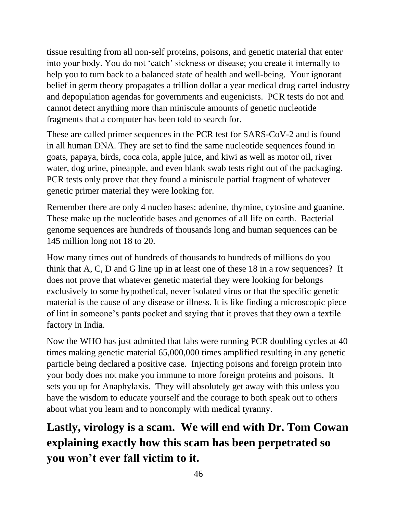tissue resulting from all non-self proteins, poisons, and genetic material that enter into your body. You do not 'catch' sickness or disease; you create it internally to help you to turn back to a balanced state of health and well-being. Your ignorant belief in germ theory propagates a trillion dollar a year medical drug cartel industry and depopulation agendas for governments and eugenicists. PCR tests do not and cannot detect anything more than miniscule amounts of genetic nucleotide fragments that a computer has been told to search for.

These are called primer sequences in the PCR test for SARS-CoV-2 and is found in all human DNA. They are set to find the same nucleotide sequences found in goats, papaya, birds, coca cola, apple juice, and kiwi as well as motor oil, river water, dog urine, pineapple, and even blank swab tests right out of the packaging. PCR tests only prove that they found a miniscule partial fragment of whatever genetic primer material they were looking for.

Remember there are only 4 nucleo bases: adenine, thymine, cytosine and guanine. These make up the nucleotide bases and genomes of all life on earth. Bacterial genome sequences are hundreds of thousands long and human sequences can be 145 million long not 18 to 20.

How many times out of hundreds of thousands to hundreds of millions do you think that A, C, D and G line up in at least one of these 18 in a row sequences? It does not prove that whatever genetic material they were looking for belongs exclusively to some hypothetical, never isolated virus or that the specific genetic material is the cause of any disease or illness. It is like finding a microscopic piece of lint in someone's pants pocket and saying that it proves that they own a textile factory in India.

Now the WHO has just admitted that labs were running PCR doubling cycles at 40 times making genetic material 65,000,000 times amplified resulting in any genetic particle being declared a positive case. Injecting poisons and foreign protein into your body does not make you immune to more foreign proteins and poisons. It sets you up for Anaphylaxis. They will absolutely get away with this unless you have the wisdom to educate yourself and the courage to both speak out to others about what you learn and to noncomply with medical tyranny.

**Lastly, virology is a scam. We will end with Dr. Tom Cowan explaining exactly how this scam has been perpetrated so you won't ever fall victim to it.**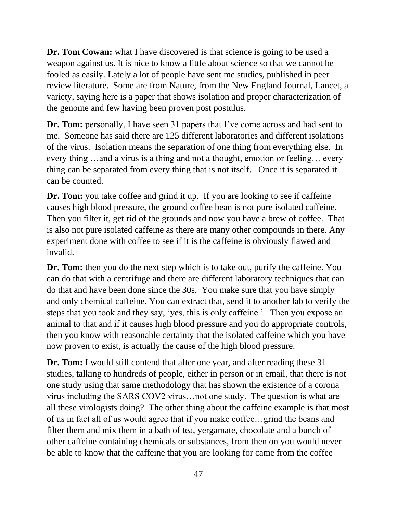**Dr. Tom Cowan:** what I have discovered is that science is going to be used a weapon against us. It is nice to know a little about science so that we cannot be fooled as easily. Lately a lot of people have sent me studies, published in peer review literature. Some are from Nature, from the New England Journal, Lancet, a variety, saying here is a paper that shows isolation and proper characterization of the genome and few having been proven post postulus.

**Dr. Tom:** personally, I have seen 31 papers that I've come across and had sent to me. Someone has said there are 125 different laboratories and different isolations of the virus. Isolation means the separation of one thing from everything else. In every thing …and a virus is a thing and not a thought, emotion or feeling… every thing can be separated from every thing that is not itself. Once it is separated it can be counted.

**Dr. Tom:** you take coffee and grind it up. If you are looking to see if caffeine causes high blood pressure, the ground coffee bean is not pure isolated caffeine. Then you filter it, get rid of the grounds and now you have a brew of coffee. That is also not pure isolated caffeine as there are many other compounds in there. Any experiment done with coffee to see if it is the caffeine is obviously flawed and invalid.

**Dr. Tom:** then you do the next step which is to take out, purify the caffeine. You can do that with a centrifuge and there are different laboratory techniques that can do that and have been done since the 30s. You make sure that you have simply and only chemical caffeine. You can extract that, send it to another lab to verify the steps that you took and they say, 'yes, this is only caffeine.' Then you expose an animal to that and if it causes high blood pressure and you do appropriate controls, then you know with reasonable certainty that the isolated caffeine which you have now proven to exist, is actually the cause of the high blood pressure.

**Dr. Tom:** I would still contend that after one year, and after reading these 31 studies, talking to hundreds of people, either in person or in email, that there is not one study using that same methodology that has shown the existence of a corona virus including the SARS COV2 virus…not one study. The question is what are all these virologists doing? The other thing about the caffeine example is that most of us in fact all of us would agree that if you make coffee…grind the beans and filter them and mix them in a bath of tea, yergamate, chocolate and a bunch of other caffeine containing chemicals or substances, from then on you would never be able to know that the caffeine that you are looking for came from the coffee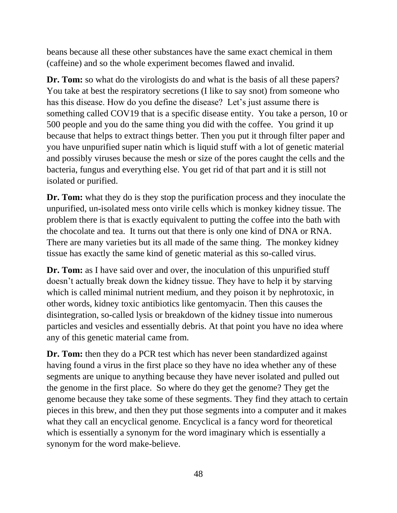beans because all these other substances have the same exact chemical in them (caffeine) and so the whole experiment becomes flawed and invalid.

**Dr. Tom:** so what do the virologists do and what is the basis of all these papers? You take at best the respiratory secretions (I like to say snot) from someone who has this disease. How do you define the disease? Let's just assume there is something called COV19 that is a specific disease entity. You take a person, 10 or 500 people and you do the same thing you did with the coffee. You grind it up because that helps to extract things better. Then you put it through filter paper and you have unpurified super natin which is liquid stuff with a lot of genetic material and possibly viruses because the mesh or size of the pores caught the cells and the bacteria, fungus and everything else. You get rid of that part and it is still not isolated or purified.

**Dr. Tom:** what they do is they stop the purification process and they inoculate the unpurified, un-isolated mess onto virile cells which is monkey kidney tissue. The problem there is that is exactly equivalent to putting the coffee into the bath with the chocolate and tea. It turns out that there is only one kind of DNA or RNA. There are many varieties but its all made of the same thing. The monkey kidney tissue has exactly the same kind of genetic material as this so-called virus.

**Dr. Tom:** as I have said over and over, the inoculation of this unpurified stuff doesn't actually break down the kidney tissue. They have to help it by starving which is called minimal nutrient medium, and they poison it by nephrotoxic, in other words, kidney toxic antibiotics like gentomyacin. Then this causes the disintegration, so-called lysis or breakdown of the kidney tissue into numerous particles and vesicles and essentially debris. At that point you have no idea where any of this genetic material came from.

**Dr. Tom:** then they do a PCR test which has never been standardized against having found a virus in the first place so they have no idea whether any of these segments are unique to anything because they have never isolated and pulled out the genome in the first place. So where do they get the genome? They get the genome because they take some of these segments. They find they attach to certain pieces in this brew, and then they put those segments into a computer and it makes what they call an encyclical genome. Encyclical is a fancy word for theoretical which is essentially a synonym for the word imaginary which is essentially a synonym for the word make-believe.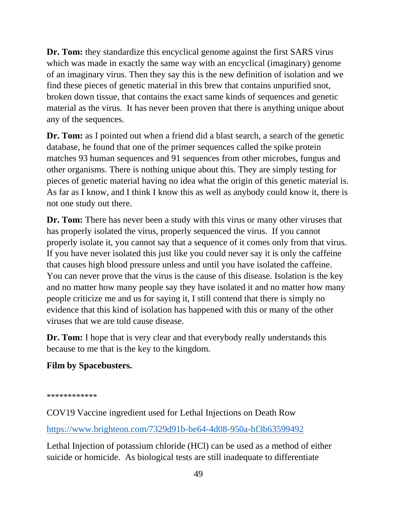**Dr. Tom:** they standardize this encyclical genome against the first SARS virus which was made in exactly the same way with an encyclical (imaginary) genome of an imaginary virus. Then they say this is the new definition of isolation and we find these pieces of genetic material in this brew that contains unpurified snot, broken down tissue, that contains the exact same kinds of sequences and genetic material as the virus. It has never been proven that there is anything unique about any of the sequences.

**Dr. Tom:** as I pointed out when a friend did a blast search, a search of the genetic database, he found that one of the primer sequences called the spike protein matches 93 human sequences and 91 sequences from other microbes, fungus and other organisms. There is nothing unique about this. They are simply testing for pieces of genetic material having no idea what the origin of this genetic material is. As far as I know, and I think I know this as well as anybody could know it, there is not one study out there.

**Dr. Tom:** There has never been a study with this virus or many other viruses that has properly isolated the virus, properly sequenced the virus. If you cannot properly isolate it, you cannot say that a sequence of it comes only from that virus. If you have never isolated this just like you could never say it is only the caffeine that causes high blood pressure unless and until you have isolated the caffeine. You can never prove that the virus is the cause of this disease. Isolation is the key and no matter how many people say they have isolated it and no matter how many people criticize me and us for saying it, I still contend that there is simply no evidence that this kind of isolation has happened with this or many of the other viruses that we are told cause disease.

**Dr. Tom:** I hope that is very clear and that everybody really understands this because to me that is the key to the kingdom.

#### **Film by Spacebusters.**

\*\*\*\*\*\*\*\*\*\*\*

COV19 Vaccine ingredient used for Lethal Injections on Death Row

<https://www.brighteon.com/7329d91b-be64-4d08-950a-bf3b63599492>

Lethal Injection of potassium chloride (HCl) can be used as a method of either suicide or homicide. As biological tests are still inadequate to differentiate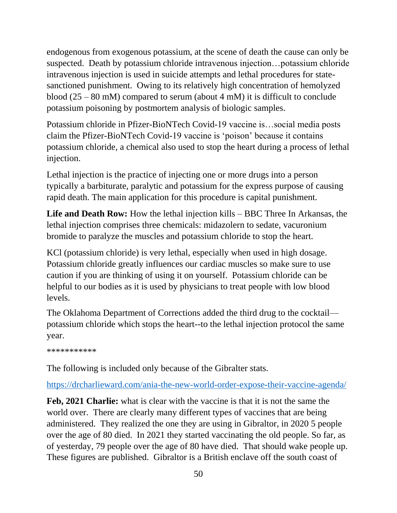endogenous from exogenous potassium, at the scene of death the cause can only be suspected. Death by potassium chloride intravenous injection…potassium chloride intravenous injection is used in suicide attempts and lethal procedures for statesanctioned punishment. Owing to its relatively high concentration of hemolyzed blood (25 – 80 mM) compared to serum (about 4 mM) it is difficult to conclude potassium poisoning by postmortem analysis of biologic samples.

Potassium chloride in Pfizer-BioNTech Covid-19 vaccine is…social media posts claim the Pfizer-BioNTech Covid-19 vaccine is 'poison' because it contains potassium chloride, a chemical also used to stop the heart during a process of lethal injection.

Lethal injection is the practice of injecting one or more drugs into a person typically a barbiturate, paralytic and potassium for the express purpose of causing rapid death. The main application for this procedure is capital punishment.

**Life and Death Row:** How the lethal injection kills – BBC Three In Arkansas, the lethal injection comprises three chemicals: midazolern to sedate, vacuronium bromide to paralyze the muscles and potassium chloride to stop the heart.

KCl (potassium chloride) is very lethal, especially when used in high dosage. Potassium chloride greatly influences our cardiac muscles so make sure to use caution if you are thinking of using it on yourself. Potassium chloride can be helpful to our bodies as it is used by physicians to treat people with low blood levels.

The Oklahoma Department of Corrections added the third drug to the cocktail potassium chloride which stops the heart--to the lethal injection protocol the same year.

\*\*\*\*\*\*\*\*\*\*\*

The following is included only because of the Gibralter stats.

<https://drcharlieward.com/ania-the-new-world-order-expose-their-vaccine-agenda/>

**Feb, 2021 Charlie:** what is clear with the vaccine is that it is not the same the world over. There are clearly many different types of vaccines that are being administered. They realized the one they are using in Gibraltor, in 2020 5 people over the age of 80 died. In 2021 they started vaccinating the old people. So far, as of yesterday, 79 people over the age of 80 have died. That should wake people up. These figures are published. Gibraltor is a British enclave off the south coast of